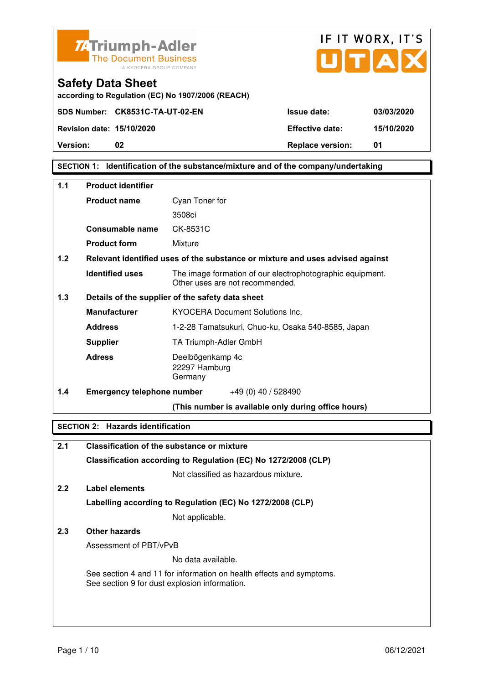



**according to Regulation (EC) No 1907/2006 (REACH)**

#### **SECTION 1: Identification of the substance/mixture and of the company/undertaking**

| 1.1   | <b>Product identifier</b>         |                                                                                              |  |
|-------|-----------------------------------|----------------------------------------------------------------------------------------------|--|
|       | <b>Product name</b>               | Cyan Toner for                                                                               |  |
|       |                                   | 3508ci                                                                                       |  |
|       | Consumable name                   | CK-8531C                                                                                     |  |
|       | <b>Product form</b>               | Mixture                                                                                      |  |
| 1.2   |                                   | Relevant identified uses of the substance or mixture and uses advised against                |  |
|       | <b>Identified uses</b>            | The image formation of our electrophotographic equipment.<br>Other uses are not recommended. |  |
| $1.3$ |                                   | Details of the supplier of the safety data sheet                                             |  |
|       | <b>Manufacturer</b>               | <b>KYOCERA Document Solutions Inc.</b>                                                       |  |
|       | <b>Address</b>                    | 1-2-28 Tamatsukuri, Chuo-ku, Osaka 540-8585, Japan                                           |  |
|       | <b>Supplier</b>                   | TA Triumph-Adler GmbH                                                                        |  |
|       | <b>Adress</b>                     | Deelbögenkamp 4c<br>22297 Hamburg<br>Germany                                                 |  |
| 1.4   | <b>Emergency telephone number</b> | $+49(0)$ 40 / 528490                                                                         |  |
|       |                                   | (This number is available only during office hours)                                          |  |

#### **SECTION 2: Hazards identification**

| 2.1 | Classification of the substance or mixture                                                                            |
|-----|-----------------------------------------------------------------------------------------------------------------------|
|     | Classification according to Regulation (EC) No 1272/2008 (CLP)                                                        |
|     | Not classified as hazardous mixture.                                                                                  |
| 2.2 | Label elements                                                                                                        |
|     | Labelling according to Regulation (EC) No 1272/2008 (CLP)                                                             |
|     | Not applicable.                                                                                                       |
| 2.3 | Other hazards                                                                                                         |
|     | Assessment of PBT/vPvB                                                                                                |
|     | No data available.                                                                                                    |
|     | See section 4 and 11 for information on health effects and symptoms.<br>See section 9 for dust explosion information. |
|     |                                                                                                                       |
|     |                                                                                                                       |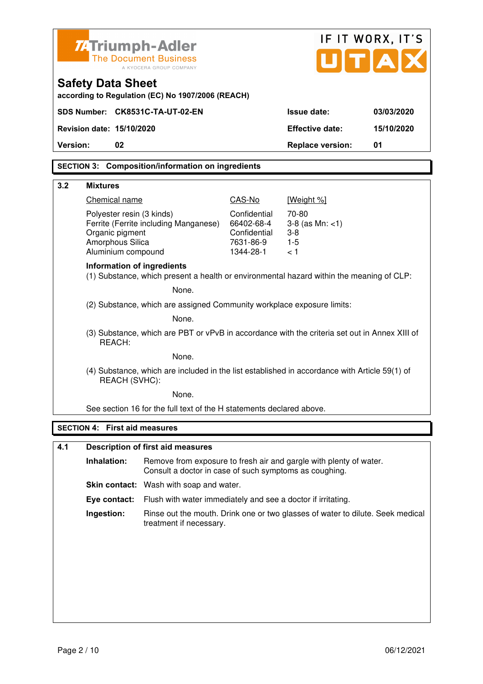| <b>ZATriumph-Adler</b>                                                                                  | <b>The Document Business</b><br>A KYOCERA GROUP COMPANY                                                                      |                                                                      | UTA                                                        | IF IT WORX, IT'S |
|---------------------------------------------------------------------------------------------------------|------------------------------------------------------------------------------------------------------------------------------|----------------------------------------------------------------------|------------------------------------------------------------|------------------|
| <b>Safety Data Sheet</b>                                                                                | according to Regulation (EC) No 1907/2006 (REACH)                                                                            |                                                                      |                                                            |                  |
| SDS Number: CK8531C-TA-UT-02-EN                                                                         |                                                                                                                              |                                                                      | <b>Issue date:</b>                                         | 03/03/2020       |
| Revision date: 15/10/2020                                                                               |                                                                                                                              |                                                                      | <b>Effective date:</b>                                     | 15/10/2020       |
| 02<br>Version:                                                                                          |                                                                                                                              |                                                                      | <b>Replace version:</b>                                    | 01               |
|                                                                                                         | <b>SECTION 3: Composition/information on ingredients</b>                                                                     |                                                                      |                                                            |                  |
| 3.2<br><b>Mixtures</b>                                                                                  |                                                                                                                              |                                                                      |                                                            |                  |
| Chemical name                                                                                           |                                                                                                                              | CAS-No                                                               | [Weight %]                                                 |                  |
| Polyester resin (3 kinds)<br>Organic pigment<br>Amorphous Silica<br>Aluminium compound                  | Ferrite (Ferrite including Manganese)                                                                                        | Confidential<br>66402-68-4<br>Confidential<br>7631-86-9<br>1344-28-1 | 70-80<br>$3-8$ (as Mn: $<1$ )<br>$3 - 8$<br>$1 - 5$<br>< 1 |                  |
| <b>Information of ingredients</b>                                                                       | (1) Substance, which present a health or environmental hazard within the meaning of CLP:                                     |                                                                      |                                                            |                  |
|                                                                                                         | None.                                                                                                                        |                                                                      |                                                            |                  |
| (2) Substance, which are assigned Community workplace exposure limits:                                  |                                                                                                                              |                                                                      |                                                            |                  |
| None.                                                                                                   |                                                                                                                              |                                                                      |                                                            |                  |
| (3) Substance, which are PBT or vPvB in accordance with the criteria set out in Annex XIII of<br>REACH: |                                                                                                                              |                                                                      |                                                            |                  |
| None.                                                                                                   |                                                                                                                              |                                                                      |                                                            |                  |
|                                                                                                         | (4) Substance, which are included in the list established in accordance with Article 59(1) of<br>REACH (SVHC):               |                                                                      |                                                            |                  |
|                                                                                                         | None.                                                                                                                        |                                                                      |                                                            |                  |
|                                                                                                         | See section 16 for the full text of the H statements declared above.                                                         |                                                                      |                                                            |                  |
| <b>SECTION 4: First aid measures</b>                                                                    |                                                                                                                              |                                                                      |                                                            |                  |
| 4.1                                                                                                     | <b>Description of first aid measures</b>                                                                                     |                                                                      |                                                            |                  |
| Inhalation:                                                                                             | Remove from exposure to fresh air and gargle with plenty of water.<br>Consult a doctor in case of such symptoms as coughing. |                                                                      |                                                            |                  |
|                                                                                                         | Skin contact: Wash with soap and water.                                                                                      |                                                                      |                                                            |                  |
| Eye contact:                                                                                            | Flush with water immediately and see a doctor if irritating.                                                                 |                                                                      |                                                            |                  |
| Ingestion:                                                                                              | Rinse out the mouth. Drink one or two glasses of water to dilute. Seek medical<br>treatment if necessary.                    |                                                                      |                                                            |                  |
|                                                                                                         |                                                                                                                              |                                                                      |                                                            |                  |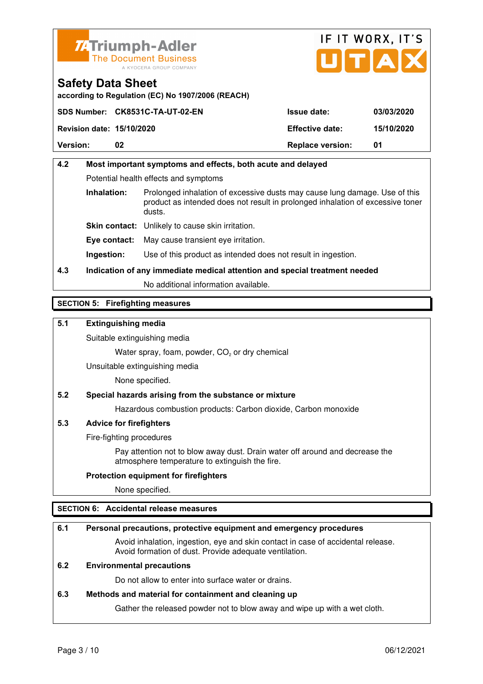



**according to Regulation (EC) No 1907/2006 (REACH)**

|                                  | SDS Number: CK8531C-TA-UT-02-EN | <b>Issue date:</b>      | 03/03/2020 |
|----------------------------------|---------------------------------|-------------------------|------------|
| <b>Revision date: 15/10/2020</b> |                                 | <b>Effective date:</b>  | 15/10/2020 |
| <b>Version:</b>                  | 02                              | <b>Replace version:</b> | 01         |

### **4.2 Most important symptoms and effects, both acute and delayed**  Potential health effects and symptoms **Inhalation:** Prolonged inhalation of excessive dusts may cause lung damage. Use of this product as intended does not result in prolonged inhalation of excessive toner dusts. **Skin contact:** Unlikely to cause skin irritation. **Eye contact:** May cause transient eye irritation.

**Ingestion:** Use of this product as intended does not result in ingestion.

### **4.3 Indication of any immediate medical attention and special treatment needed**

No additional information available.

#### **SECTION 5: Firefighting measures**

#### **5.1 Extinguishing media**

Suitable extinguishing media

Water spray, foam, powder,  $CO<sub>2</sub>$  or dry chemical

Unsuitable extinguishing media

None specified.

#### **5.2 Special hazards arising from the substance or mixture**

Hazardous combustion products: Carbon dioxide, Carbon monoxide

#### **5.3 Advice for firefighters**

Fire-fighting procedures

 Pay attention not to blow away dust. Drain water off around and decrease the atmosphere temperature to extinguish the fire.

#### **Protection equipment for firefighters**

None specified.

#### **SECTION 6: Accidental release measures**

#### **6.1 Personal precautions, protective equipment and emergency procedures**

 Avoid inhalation, ingestion, eye and skin contact in case of accidental release. Avoid formation of dust. Provide adequate ventilation.

#### **6.2 Environmental precautions**

Do not allow to enter into surface water or drains.

#### **6.3 Methods and material for containment and cleaning up**

Gather the released powder not to blow away and wipe up with a wet cloth.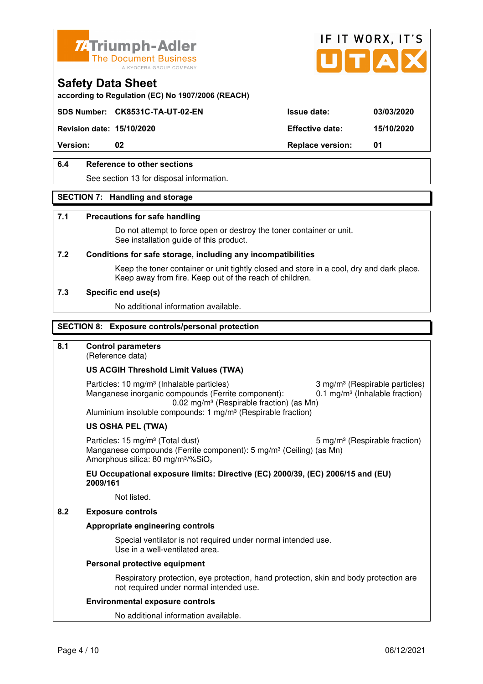



**according to Regulation (EC) No 1907/2006 (REACH)**

#### **SDS Number: CK8531C-TA-UT-02-EN Issue date: 03/03/2020**

**Revision date: 15/10/2020 Effective date: 15/10/2020** 

**Version:** 02 **Replace version:** 01

#### **6.4 Reference to other sections**

See section 13 for disposal information.

#### **SECTION 7: Handling and storage**

#### **7.1 Precautions for safe handling**

 Do not attempt to force open or destroy the toner container or unit. See installation guide of this product.

#### **7.2 Conditions for safe storage, including any incompatibilities**

Keep the toner container or unit tightly closed and store in a cool, dry and dark place. Keep away from fire. Keep out of the reach of children.

#### **7.3 Specific end use(s)**

No additional information available.

#### **SECTION 8: Exposure controls/personal protection**

#### **8.1 Control parameters**

(Reference data)

#### **US ACGIH Threshold Limit Values (TWA)**

Particles: 10 mg/m<sup>3</sup> (Inhalable particles) 3 mg/m<sup>3</sup> (Respirable particles) Manganese inorganic compounds (Ferrite component):  $0.1 \text{ mg/m}^3$  (Inhalable fraction) 0.02 mg/m³ (Respirable fraction) (as Mn) Aluminium insoluble compounds: 1 mg/m<sup>3</sup> (Respirable fraction)

#### **US OSHA PEL (TWA)**

Particles: 15 mg/m<sup>3</sup> (Total dust) 5 mg/m<sup>3</sup> (Respirable fraction) Manganese compounds (Ferrite component): 5 mg/m<sup>3</sup> (Ceiling) (as Mn) Amorphous silica: 80 mg/m<sup>3</sup>/%SiO<sub>2</sub>

#### **EU Occupational exposure limits: Directive (EC) 2000/39, (EC) 2006/15 and (EU) 2009/161**

Not listed.

#### **8.2 Exposure controls**

#### **Appropriate engineering controls**

 Special ventilator is not required under normal intended use. Use in a well-ventilated area.

#### **Personal protective equipment**

 Respiratory protection, eye protection, hand protection, skin and body protection are not required under normal intended use.

#### **Environmental exposure controls**

No additional information available.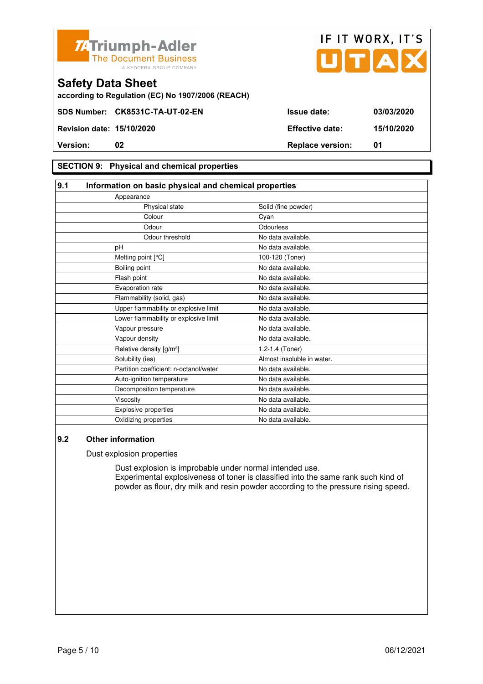



**according to Regulation (EC) No 1907/2006 (REACH)**

#### **SECTION 9: Physical and chemical properties**

#### **9.1 Information on basic physical and chemical properties** Appearance Physical state Solid (fine powder) **Colour** Colour Cyan Odour **Odourless** Odour threshold No data available. pH No data available. Melting point [°C] 100-120 (Toner) Boiling point No data available. Flash point **No data available.** Evaporation rate No data available. Flammability (solid, gas) No data available. Upper flammability or explosive limit No data available. Lower flammability or explosive limit No data available. Vapour pressure and a set of the No data available. Vapour density **No data available.** Relative density  $[g/m^3]$  1.2-1.4 (Toner) Solubility (ies) Almost insoluble in water. Partition coefficient: n-octanol/water No data available. Auto-ignition temperature No data available. Decomposition temperature No data available. Viscosity **No data available.** Explosive properties **No data available**. Oxidizing properties No data available.

#### **9.2 Other information**

Dust explosion properties

 Dust explosion is improbable under normal intended use. Experimental explosiveness of toner is classified into the same rank such kind of powder as flour, dry milk and resin powder according to the pressure rising speed.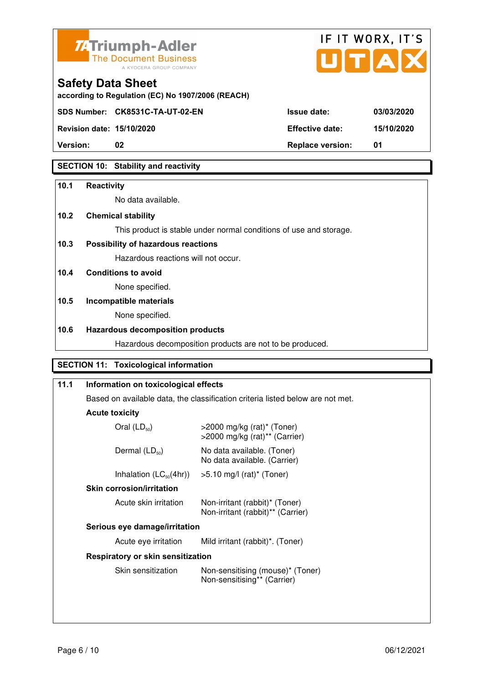



**Version:** 02 **Replace version:** 01

#### **SECTION 10: Stability and reactivity**

#### **10.1 Reactivity**

No data available.

#### **10.2 Chemical stability**

This product is stable under normal conditions of use and storage.

#### **10.3 Possibility of hazardous reactions**

Hazardous reactions will not occur.

#### **10.4 Conditions to avoid**

None specified.

### **10.5 Incompatible materials**

None specified.

#### **10.6 Hazardous decomposition products**

Hazardous decomposition products are not to be produced.

#### **SECTION 11: Toxicological information**

| 11.1                                                       | Information on toxicological effects<br>Based on available data, the classification criteria listed below are not met. |                                                                               |
|------------------------------------------------------------|------------------------------------------------------------------------------------------------------------------------|-------------------------------------------------------------------------------|
|                                                            |                                                                                                                        |                                                                               |
|                                                            | <b>Acute toxicity</b>                                                                                                  |                                                                               |
|                                                            | Oral $(LD_{50})$                                                                                                       | $>$ 2000 mg/kg (rat)* (Toner)<br>$>$ 2000 mg/kg (rat) <sup>**</sup> (Carrier) |
|                                                            | Dermal $(LD_{50})$                                                                                                     | No data available. (Toner)<br>No data available. (Carrier)                    |
| Inhalation $(LC_{50}(4hr))$<br>$>5.10$ mg/l (rat)* (Toner) |                                                                                                                        |                                                                               |
|                                                            | <b>Skin corrosion/irritation</b>                                                                                       |                                                                               |
|                                                            | Acute skin irritation                                                                                                  | Non-irritant (rabbit)* (Toner)<br>Non-irritant (rabbit)** (Carrier)           |
|                                                            | Serious eye damage/irritation                                                                                          |                                                                               |
|                                                            | Acute eye irritation                                                                                                   | Mild irritant (rabbit)*. (Toner)                                              |
|                                                            | Respiratory or skin sensitization                                                                                      |                                                                               |
|                                                            | Skin sensitization                                                                                                     | Non-sensitising (mouse)* (Toner)<br>Non-sensitising** (Carrier)               |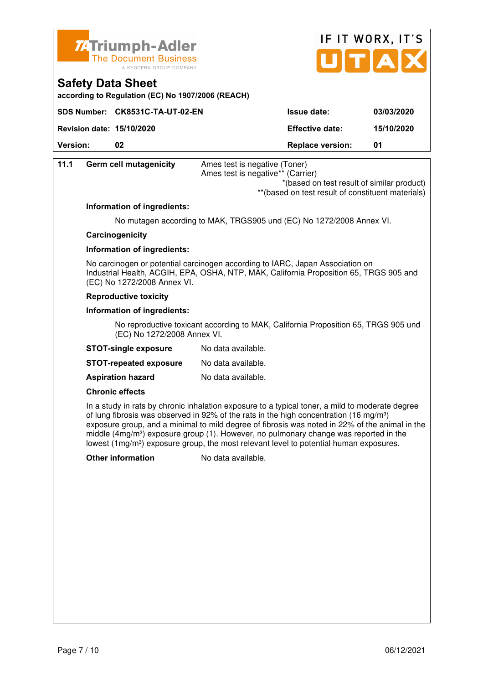



**according to Regulation (EC) No 1907/2006 (REACH)**

|                                  | SDS Number: CK8531C-TA-UT-02-EN | <b>Issue date:</b>      | 03/03/2020 |
|----------------------------------|---------------------------------|-------------------------|------------|
| <b>Revision date: 15/10/2020</b> |                                 | <b>Effective date:</b>  | 15/10/2020 |
| <b>Version:</b>                  |                                 | <b>Replace version:</b> | 01         |

| 11.1 | <b>Germ cell mutagenicity</b> | Ames test is negative (Toner)     |
|------|-------------------------------|-----------------------------------|
|      |                               | Ames test is negative** (Carrier) |
|      |                               | $*$ /honed an toot roquit of      |

 \*(based on test result of similar product) \*\*(based on test result of constituent materials)

#### **Information of ingredients:**

No mutagen according to MAK, TRGS905 und (EC) No 1272/2008 Annex VI.

#### **Carcinogenicity**

#### **Information of ingredients:**

 No carcinogen or potential carcinogen according to IARC, Japan Association on Industrial Health, ACGIH, EPA, OSHA, NTP, MAK, California Proposition 65, TRGS 905 and (EC) No 1272/2008 Annex VI.

#### **Reproductive toxicity**

#### **Information of ingredients:**

 No reproductive toxicant according to MAK, California Proposition 65, TRGS 905 und (EC) No 1272/2008 Annex VI.

| <b>STOT-single exposure</b> | No data available. |
|-----------------------------|--------------------|
|-----------------------------|--------------------|

**STOT-repeated exposure** No data available.

**Aspiration hazard** No data available.

#### **Chronic effects**

 In a study in rats by chronic inhalation exposure to a typical toner, a mild to moderate degree of lung fibrosis was observed in 92% of the rats in the high concentration (16 mg/m<sup>3</sup>) exposure group, and a minimal to mild degree of fibrosis was noted in 22% of the animal in the middle (4mg/m<sup>3</sup>) exposure group (1). However, no pulmonary change was reported in the lowest (1mg/m<sup>3</sup>) exposure group, the most relevant level to potential human exposures.

**Other information** No data available.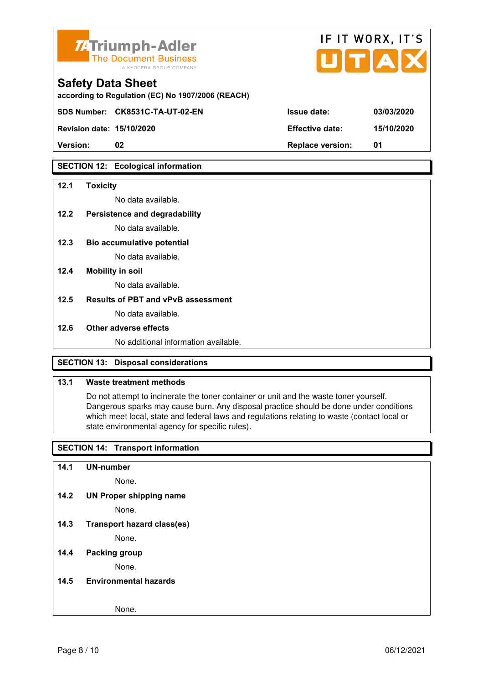

| <b>7.</b> Triumph-Adler<br>The Document Business<br>A KYOCERA GROUP COMPANY   |                        | IF II WURX, II'S<br>UTAX |
|-------------------------------------------------------------------------------|------------------------|--------------------------|
| <b>Safety Data Sheet</b><br>according to Regulation (EC) No 1907/2006 (REACH) |                        |                          |
| SDS Number: CK8531C-TA-UT-02-EN                                               | <b>Issue date:</b>     | 03/03/2020               |
| <b>Revision date: 15/10/2020</b>                                              | <b>Effective date:</b> | 15/10/2020               |

 $\mathbf{r} = \mathbf{r} + \mathbf{r}$ 

 $\rightarrow$ 

**Version: 02 Replace version: 01** 

#### **SECTION 12: Ecological information**

#### **12.1 Toxicity**

No data available.

#### **12.2 Persistence and degradability**

No data available.

- **12.3 Bio accumulative potential**  No data available.
- **12.4 Mobility in soil**

No data available.

#### **12.5 Results of PBT and vPvB assessment**

No data available.

#### **12.6 Other adverse effects**

No additional information available.

#### **SECTION 13: Disposal considerations**

#### **13.1 Waste treatment methods**

 Do not attempt to incinerate the toner container or unit and the waste toner yourself. Dangerous sparks may cause burn. Any disposal practice should be done under conditions which meet local, state and federal laws and regulations relating to waste (contact local or state environmental agency for specific rules).

#### **SECTION 14: Transport information**

**14.1 UN-number** 

None.

**14.2 UN Proper shipping name** 

None.

**14.3 Transport hazard class(es)** 

None.

#### **14.4 Packing group**

None.

#### **14.5 Environmental hazards**

None.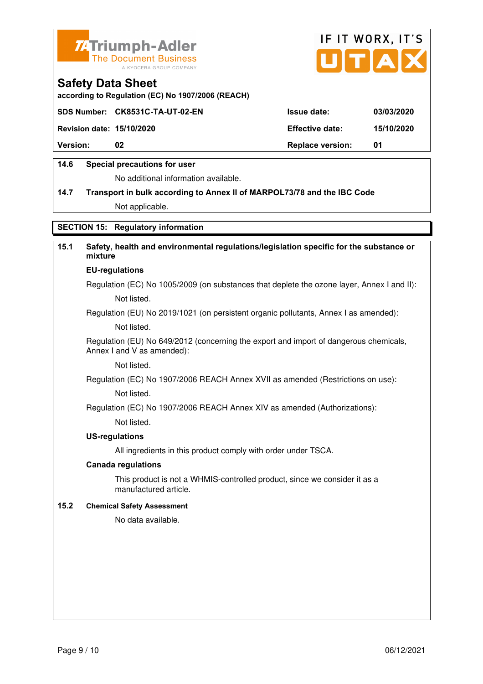



**according to Regulation (EC) No 1907/2006 (REACH)**

|                                  | SDS Number: CK8531C-TA-UT-02-EN | <b>Issue date:</b>      | 03/03/2020 |
|----------------------------------|---------------------------------|-------------------------|------------|
| <b>Revision date: 15/10/2020</b> |                                 | <b>Effective date:</b>  | 15/10/2020 |
| <b>Version:</b>                  | 02                              | <b>Replace version:</b> | - 01       |
|                                  |                                 |                         |            |

#### **14.6 Special precautions for user**

No additional information available.

## **14.7 Transport in bulk according to Annex II of MARPOL73/78 and the IBC Code**

Not applicable.

#### **SECTION 15: Regulatory information**

#### **15.1 Safety, health and environmental regulations/legislation specific for the substance or mixture EU-regulations**

Regulation (EC) No 1005/2009 (on substances that deplete the ozone layer, Annex I and II): Not listed.

Regulation (EU) No 2019/1021 (on persistent organic pollutants, Annex I as amended):

Not listed.

 Regulation (EU) No 649/2012 (concerning the export and import of dangerous chemicals, Annex I and V as amended):

Not listed.

 Regulation (EC) No 1907/2006 REACH Annex XVII as amended (Restrictions on use): Not listed.

Regulation (EC) No 1907/2006 REACH Annex XIV as amended (Authorizations):

Not listed.

#### **US-regulations**

All ingredients in this product comply with order under TSCA.

#### **Canada regulations**

 This product is not a WHMIS-controlled product, since we consider it as a manufactured article.

#### **15.2 Chemical Safety Assessment**

No data available.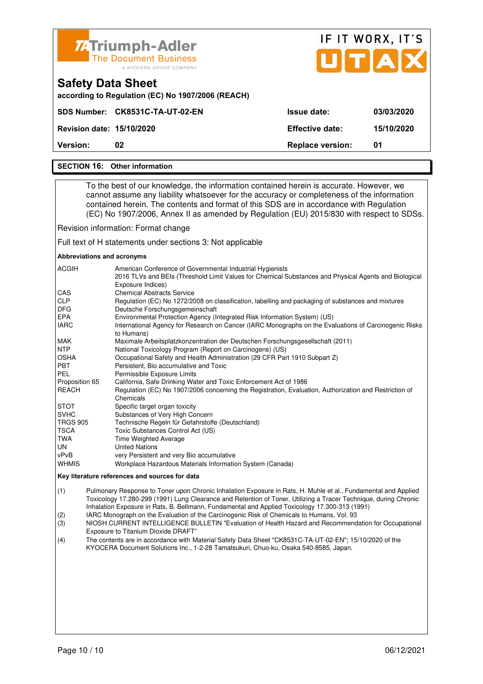

#### **SECTION 16: Other information**

 To the best of our knowledge, the information contained herein is accurate. However, we cannot assume any liability whatsoever for the accuracy or completeness of the information contained herein. The contents and format of this SDS are in accordance with Regulation (EC) No 1907/2006, Annex II as amended by Regulation (EU) 2015/830 with respect to SDSs.

Revision information: Format change

Full text of H statements under sections 3: Not applicable

#### **Abbreviations and acronyms**

| <b>ACGIH</b>    | American Conference of Governmental Industrial Hygienists<br>2016 TLVs and BEIs (Threshold Limit Values for Chemical Substances and Physical Agents and Biological<br>Exposure Indices) |
|-----------------|-----------------------------------------------------------------------------------------------------------------------------------------------------------------------------------------|
| <b>CAS</b>      | <b>Chemical Abstracts Service</b>                                                                                                                                                       |
| <b>CLP</b>      | Regulation (EC) No 1272/2008 on classification, labelling and packaging of substances and mixtures                                                                                      |
| <b>DFG</b>      | Deutsche Forschungsgemeinschaft                                                                                                                                                         |
| <b>EPA</b>      | Environmental Protection Agency (Integrated Risk Information System) (US)                                                                                                               |
| <b>IARC</b>     | International Agency for Research on Cancer (IARC Monographs on the Evaluations of Carcinogenic Risks<br>to Humans)                                                                     |
| <b>MAK</b>      | Maximale Arbeitsplatzkonzentration der Deutschen Forschungsgesellschaft (2011)                                                                                                          |
| <b>NTP</b>      | National Toxicology Program (Report on Carcinogens) (US)                                                                                                                                |
| <b>OSHA</b>     | Occupational Safety and Health Administration (29 CFR Part 1910 Subpart Z)                                                                                                              |
| <b>PBT</b>      | Persistent, Bio accumulative and Toxic                                                                                                                                                  |
| <b>PEL</b>      | Permissible Exposure Limits                                                                                                                                                             |
| Proposition 65  | California, Safe Drinking Water and Toxic Enforcement Act of 1986                                                                                                                       |
| REACH           | Regulation (EC) No 1907/2006 concerning the Registration, Evaluation, Authorization and Restriction of<br>Chemicals                                                                     |
| <b>STOT</b>     | Specific target organ toxicity                                                                                                                                                          |
| <b>SVHC</b>     | Substances of Very High Concern                                                                                                                                                         |
| <b>TRGS 905</b> | Technische Regeln für Gefahrstoffe (Deutschland)                                                                                                                                        |
| TSCA            | Toxic Substances Control Act (US)                                                                                                                                                       |
| TWA             | <b>Time Weighted Average</b>                                                                                                                                                            |
| UN              | <b>United Nations</b>                                                                                                                                                                   |
| vPvB            | very Persistent and very Bio accumulative                                                                                                                                               |
| <b>WHMIS</b>    | Workplace Hazardous Materials Information System (Canada)                                                                                                                               |

#### **Key literature references and sources for data**

(1) Pulmonary Response to Toner upon Chronic Inhalation Exposure in Rats, H. Muhle et al., Fundamental and Applied Toxicology 17.280-299 (1991) Lung Clearance and Retention of Toner, Utilizing a Tracer Technique, during Chronic Inhalation Exposure in Rats, B. Bellmann, Fundamental and Applied Toxicology 17.300-313 (1991)

(2) IARC Monograph on the Evaluation of the Carcinogenic Risk of Chemicals to Humans, Vol. 93

(3) NIOSH CURRENT INTELLIGENCE BULLETIN "Evaluation of Health Hazard and Recommendation for Occupational Exposure to Titanium Dioxide DRAFT"

(4) The contents are in accordance with Material Safety Data Sheet "CK8531C-TA-UT-02-EN"; 15/10/2020 of the KYOCERA Document Solutions Inc., 1-2-28 Tamatsukuri, Chuo-ku, Osaka 540-8585, Japan.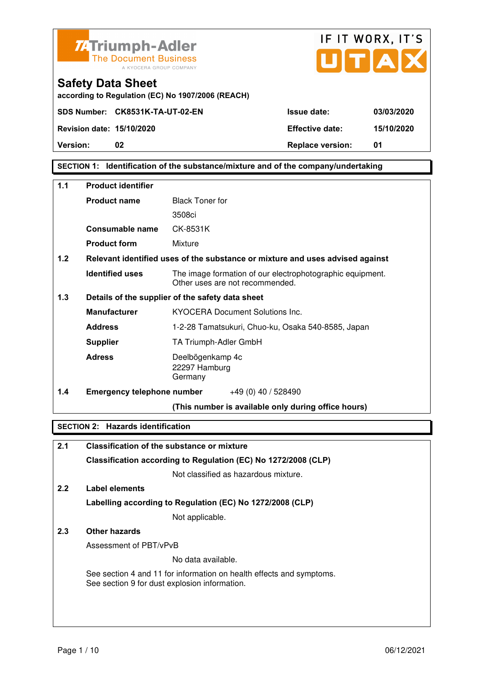



**according to Regulation (EC) No 1907/2006 (REACH)**

**Version:** 02 **Replace version:** 01

#### **SECTION 1: Identification of the substance/mixture and of the company/undertaking**

| $1.1$ | <b>Product identifier</b>         |                                                                                              |  |
|-------|-----------------------------------|----------------------------------------------------------------------------------------------|--|
|       | <b>Product name</b>               | <b>Black Toner for</b>                                                                       |  |
|       |                                   | 3508ci                                                                                       |  |
|       | <b>Consumable name</b>            | CK-8531K                                                                                     |  |
|       | <b>Product form</b>               | Mixture                                                                                      |  |
| 1.2   |                                   | Relevant identified uses of the substance or mixture and uses advised against                |  |
|       | <b>Identified uses</b>            | The image formation of our electrophotographic equipment.<br>Other uses are not recommended. |  |
| 1.3   |                                   | Details of the supplier of the safety data sheet                                             |  |
|       | <b>Manufacturer</b>               | <b>KYOCERA Document Solutions Inc.</b>                                                       |  |
|       | <b>Address</b>                    | 1-2-28 Tamatsukuri, Chuo-ku, Osaka 540-8585, Japan                                           |  |
|       | <b>Supplier</b>                   | TA Triumph-Adler GmbH                                                                        |  |
|       | <b>Adress</b>                     | Deelbögenkamp 4c<br>22297 Hamburg<br>Germany                                                 |  |
| 1.4   | <b>Emergency telephone number</b> | $+49(0)$ 40 / 528490                                                                         |  |
|       |                                   | (This number is available only during office hours)                                          |  |

#### **SECTION 2: Hazards identification**

| 2.1 | Classification of the substance or mixture                                                                            |
|-----|-----------------------------------------------------------------------------------------------------------------------|
|     | Classification according to Regulation (EC) No 1272/2008 (CLP)                                                        |
|     | Not classified as hazardous mixture.                                                                                  |
| 2.2 | Label elements                                                                                                        |
|     | Labelling according to Regulation (EC) No 1272/2008 (CLP)                                                             |
|     | Not applicable.                                                                                                       |
| 2.3 | Other hazards                                                                                                         |
|     | Assessment of PBT/vPvB                                                                                                |
|     | No data available.                                                                                                    |
|     | See section 4 and 11 for information on health effects and symptoms.<br>See section 9 for dust explosion information. |
|     |                                                                                                                       |
|     |                                                                                                                       |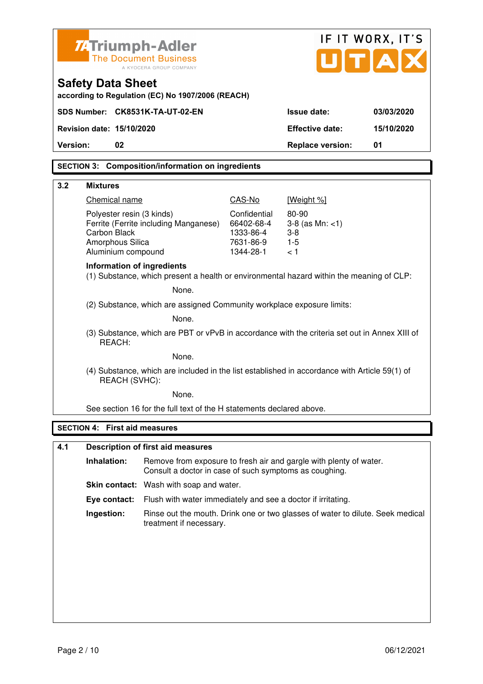|                                                                                                         |                                         | Z-Triumph-Adler<br><b>The Document Business</b><br>A KYOCERA GROUP COMPANY                                                   |                        | UITIA                   | IF IT WORX, IT'S |
|---------------------------------------------------------------------------------------------------------|-----------------------------------------|------------------------------------------------------------------------------------------------------------------------------|------------------------|-------------------------|------------------|
|                                                                                                         | <b>Safety Data Sheet</b>                | according to Regulation (EC) No 1907/2006 (REACH)                                                                            |                        |                         |                  |
|                                                                                                         |                                         | SDS Number: CK8531K-TA-UT-02-EN                                                                                              |                        | <b>Issue date:</b>      | 03/03/2020       |
|                                                                                                         | Revision date: 15/10/2020               |                                                                                                                              |                        | <b>Effective date:</b>  | 15/10/2020       |
| Version:                                                                                                | 02                                      |                                                                                                                              |                        | <b>Replace version:</b> | 01               |
|                                                                                                         |                                         | <b>SECTION 3: Composition/information on ingredients</b>                                                                     |                        |                         |                  |
|                                                                                                         |                                         |                                                                                                                              |                        |                         |                  |
| 3.2                                                                                                     | <b>Mixtures</b>                         |                                                                                                                              |                        |                         |                  |
|                                                                                                         | Chemical name                           |                                                                                                                              | CAS-No<br>Confidential | [Weight %]<br>80-90     |                  |
|                                                                                                         | Polyester resin (3 kinds)               | Ferrite (Ferrite including Manganese)                                                                                        | 66402-68-4             | $3-8$ (as Mn: $<1$ )    |                  |
|                                                                                                         | <b>Carbon Black</b><br>Amorphous Silica |                                                                                                                              | 1333-86-4<br>7631-86-9 | $3 - 8$<br>$1-5$        |                  |
|                                                                                                         | Aluminium compound                      |                                                                                                                              | 1344-28-1              | < 1                     |                  |
|                                                                                                         | Information of ingredients              | (1) Substance, which present a health or environmental hazard within the meaning of CLP:                                     |                        |                         |                  |
|                                                                                                         |                                         | None.                                                                                                                        |                        |                         |                  |
| (2) Substance, which are assigned Community workplace exposure limits:                                  |                                         |                                                                                                                              |                        |                         |                  |
|                                                                                                         | None.                                   |                                                                                                                              |                        |                         |                  |
| (3) Substance, which are PBT or vPvB in accordance with the criteria set out in Annex XIII of<br>REACH: |                                         |                                                                                                                              |                        |                         |                  |
| None.                                                                                                   |                                         |                                                                                                                              |                        |                         |                  |
|                                                                                                         | REACH (SVHC):                           | (4) Substance, which are included in the list established in accordance with Article 59(1) of                                |                        |                         |                  |
|                                                                                                         |                                         | None.                                                                                                                        |                        |                         |                  |
|                                                                                                         |                                         | See section 16 for the full text of the H statements declared above.                                                         |                        |                         |                  |
|                                                                                                         | <b>SECTION 4: First aid measures</b>    |                                                                                                                              |                        |                         |                  |
| 4.1                                                                                                     |                                         | <b>Description of first aid measures</b>                                                                                     |                        |                         |                  |
|                                                                                                         | Inhalation:                             | Remove from exposure to fresh air and gargle with plenty of water.<br>Consult a doctor in case of such symptoms as coughing. |                        |                         |                  |
|                                                                                                         |                                         | Skin contact: Wash with soap and water.                                                                                      |                        |                         |                  |
|                                                                                                         | Eye contact:                            | Flush with water immediately and see a doctor if irritating.                                                                 |                        |                         |                  |
|                                                                                                         | Ingestion:                              | Rinse out the mouth. Drink one or two glasses of water to dilute. Seek medical<br>treatment if necessary.                    |                        |                         |                  |
|                                                                                                         |                                         |                                                                                                                              |                        |                         |                  |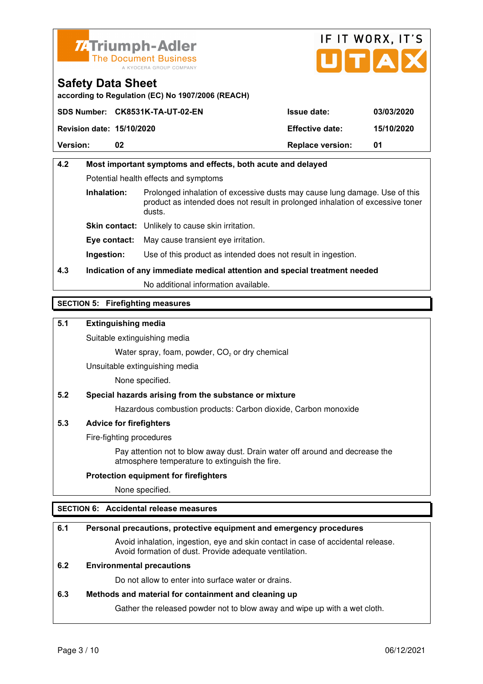



**according to Regulation (EC) No 1907/2006 (REACH)**

|                                  | SDS Number: CK8531K-TA-UT-02-EN | <b>Issue date:</b>      | 03/03/2020 |
|----------------------------------|---------------------------------|-------------------------|------------|
| <b>Revision date: 15/10/2020</b> |                                 | <b>Effective date:</b>  | 15/10/2020 |
| <b>Version:</b>                  | 02                              | <b>Replace version:</b> | 01         |

### **4.2 Most important symptoms and effects, both acute and delayed**  Potential health effects and symptoms **Inhalation:** Prolonged inhalation of excessive dusts may cause lung damage. Use of this product as intended does not result in prolonged inhalation of excessive toner dusts. **Skin contact:** Unlikely to cause skin irritation. **Eye contact:** May cause transient eye irritation.

**Ingestion:** Use of this product as intended does not result in ingestion.

### **4.3 Indication of any immediate medical attention and special treatment needed**

No additional information available.

#### **SECTION 5: Firefighting measures**

#### **5.1 Extinguishing media**

Suitable extinguishing media

Water spray, foam, powder,  $CO<sub>2</sub>$  or dry chemical

Unsuitable extinguishing media

None specified.

#### **5.2 Special hazards arising from the substance or mixture**

Hazardous combustion products: Carbon dioxide, Carbon monoxide

#### **5.3 Advice for firefighters**

Fire-fighting procedures

 Pay attention not to blow away dust. Drain water off around and decrease the atmosphere temperature to extinguish the fire.

#### **Protection equipment for firefighters**

None specified.

#### **SECTION 6: Accidental release measures**

#### **6.1 Personal precautions, protective equipment and emergency procedures**

 Avoid inhalation, ingestion, eye and skin contact in case of accidental release. Avoid formation of dust. Provide adequate ventilation.

#### **6.2 Environmental precautions**

Do not allow to enter into surface water or drains.

#### **6.3 Methods and material for containment and cleaning up**

Gather the released powder not to blow away and wipe up with a wet cloth.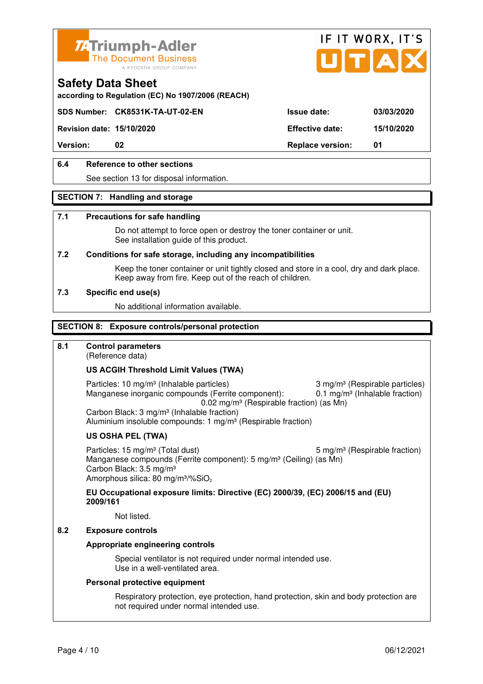



**according to Regulation (EC) No 1907/2006 (REACH)**

#### **SDS Number: CK8531K-TA-UT-02-EN Issue date: 03/03/2020**

**Revision date: 15/10/2020 Effective date: 15/10/2020** 

**Version:** 02 **Replace version:** 01

#### **6.4 Reference to other sections**

See section 13 for disposal information.

#### **SECTION 7: Handling and storage**

#### **7.1 Precautions for safe handling**

 Do not attempt to force open or destroy the toner container or unit. See installation guide of this product.

#### **7.2 Conditions for safe storage, including any incompatibilities**

Keep the toner container or unit tightly closed and store in a cool, dry and dark place. Keep away from fire. Keep out of the reach of children.

#### **7.3 Specific end use(s)**

No additional information available.

#### **SECTION 8: Exposure controls/personal protection**

#### **8.1 Control parameters**

(Reference data)

#### **US ACGIH Threshold Limit Values (TWA)**

Particles: 10 mg/m<sup>3</sup> (Inhalable particles) 3 mg/m<sup>3</sup> (Respirable particles) Manganese inorganic compounds (Ferrite component): 0.1 mg/m<sup>3</sup> (Inhalable fraction) 0.02 mg/m³ (Respirable fraction) (as Mn) Carbon Black: 3 mg/m³ (Inhalable fraction)

Aluminium insoluble compounds: 1 mg/m<sup>3</sup> (Respirable fraction)

#### **US OSHA PEL (TWA)**

Particles: 15 mg/m<sup>3</sup> (Total dust) 5 mg/m<sup>3</sup> (Respirable fraction) Manganese compounds (Ferrite component): 5 mg/m<sup>3</sup> (Ceiling) (as Mn) Carbon Black: 3.5 mg/m³ Amorphous silica: 80 mg/m<sup>3</sup>/%SiO<sub>2</sub>

**EU Occupational exposure limits: Directive (EC) 2000/39, (EC) 2006/15 and (EU) 2009/161**

Not listed.

#### **8.2 Exposure controls**

#### **Appropriate engineering controls**

 Special ventilator is not required under normal intended use. Use in a well-ventilated area.

#### **Personal protective equipment**

 Respiratory protection, eye protection, hand protection, skin and body protection are not required under normal intended use.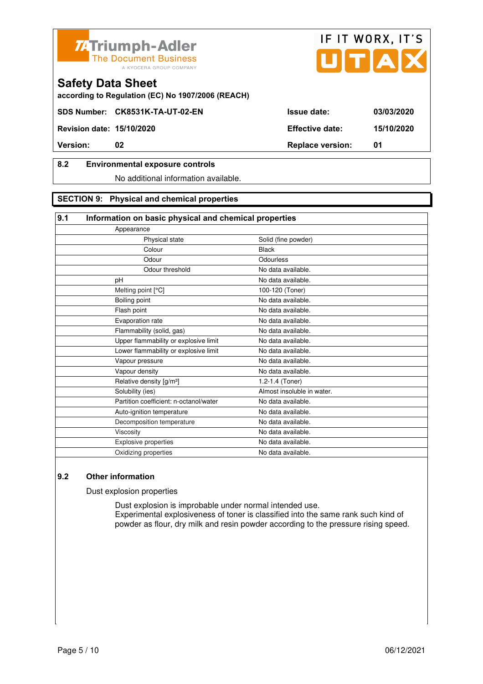



**according to Regulation (EC) No 1907/2006 (REACH)**

#### **8.2 Environmental exposure controls**

No additional information available.

#### **SECTION 9: Physical and chemical properties**

#### **9.1 Information on basic physical and chemical properties**

| Solid (fine powder)        |
|----------------------------|
| <b>Black</b>               |
| Odourless                  |
| No data available.         |
| No data available.         |
| 100-120 (Toner)            |
| No data available.         |
| No data available.         |
| No data available.         |
| No data available.         |
| No data available.         |
| No data available.         |
| No data available.         |
| No data available.         |
| 1.2-1.4 (Toner)            |
| Almost insoluble in water. |
| No data available.         |
| No data available.         |
| No data available.         |
| No data available.         |
| No data available.         |
| No data available.         |
|                            |

#### **9.2 Other information**

Dust explosion properties

 Dust explosion is improbable under normal intended use. Experimental explosiveness of toner is classified into the same rank such kind of powder as flour, dry milk and resin powder according to the pressure rising speed.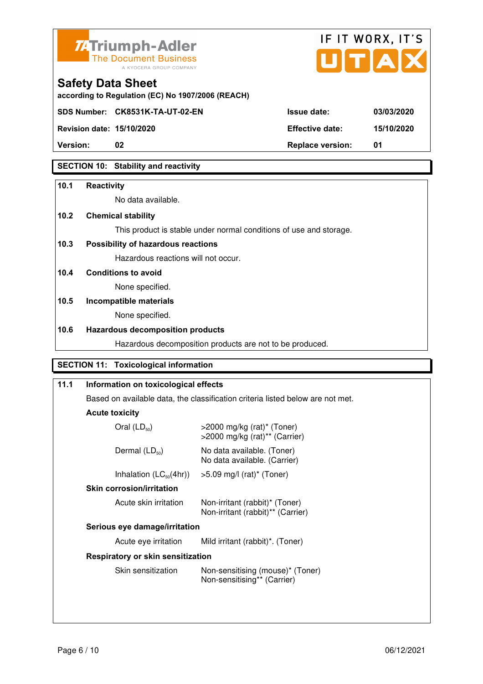



**Revision date: 15/10/2020 Effective date: 15/10/2020** 

**Safety Data Sheet** 

| <b>Revision date: 15/10/2020</b> | <b>Effective date:</b>  | 15/1 |
|----------------------------------|-------------------------|------|
| <b>Version:</b>                  | <b>Replace version:</b> |      |

#### **SECTION 10: Stability and reactivity**

#### **10.1 Reactivity**

No data available.

**according to Regulation (EC) No 1907/2006 (REACH)**

#### **10.2 Chemical stability**

This product is stable under normal conditions of use and storage.

#### **10.3 Possibility of hazardous reactions**

Hazardous reactions will not occur.

#### **10.4 Conditions to avoid**

None specified.

### **10.5 Incompatible materials**

None specified.

#### **10.6 Hazardous decomposition products**

Hazardous decomposition products are not to be produced.

#### **SECTION 11: Toxicological information**

| Information on toxicological effects |                                                                                |  |  |
|--------------------------------------|--------------------------------------------------------------------------------|--|--|
|                                      | Based on available data, the classification criteria listed below are not met. |  |  |
| <b>Acute toxicity</b>                |                                                                                |  |  |
| Oral $(LD_{50})$                     | $>$ 2000 mg/kg (rat)* (Toner)<br>>2000 mg/kg (rat)** (Carrier)                 |  |  |
| Dermal $(LD_{50})$                   | No data available. (Toner)<br>No data available. (Carrier)                     |  |  |
| Inhalation $(LC_{50}(4hr))$          | $>5.09$ mg/l (rat)* (Toner)                                                    |  |  |
| <b>Skin corrosion/irritation</b>     |                                                                                |  |  |
| Acute skin irritation                | Non-irritant (rabbit)* (Toner)<br>Non-irritant (rabbit)** (Carrier)            |  |  |
| Serious eye damage/irritation        |                                                                                |  |  |
| Acute eye irritation                 | Mild irritant (rabbit)*. (Toner)                                               |  |  |
| Respiratory or skin sensitization    |                                                                                |  |  |
| Skin sensitization                   | Non-sensitising (mouse)* (Toner)<br>Non-sensitising** (Carrier)                |  |  |
|                                      |                                                                                |  |  |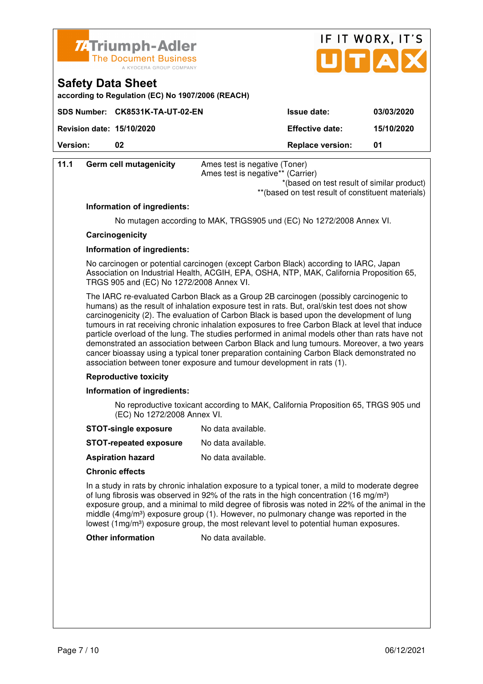



| according to Regulation (EC) No 1907/2006 (REACH) |  |  |
|---------------------------------------------------|--|--|

| <b>Version:</b>                  | 02                              | <b>Replace version:</b> | 01         |
|----------------------------------|---------------------------------|-------------------------|------------|
| <b>Revision date: 15/10/2020</b> |                                 | <b>Effective date:</b>  | 15/10/2020 |
|                                  | SDS Number: CK8531K-TA-UT-02-EN | <b>Issue date:</b>      | 03/03/2020 |

| 11.1 | <b>Germ cell mutagenicity</b>            | Ames test is negative (Toner)<br>Ames test is negative** (Carrier)<br>*(based on test result of similar product)<br>** (based on test result of constituent materials)                                                                                                                                                                                                                                                                                                                                                                                                                                                                                                                                                                                     |
|------|------------------------------------------|------------------------------------------------------------------------------------------------------------------------------------------------------------------------------------------------------------------------------------------------------------------------------------------------------------------------------------------------------------------------------------------------------------------------------------------------------------------------------------------------------------------------------------------------------------------------------------------------------------------------------------------------------------------------------------------------------------------------------------------------------------|
|      | Information of ingredients:              |                                                                                                                                                                                                                                                                                                                                                                                                                                                                                                                                                                                                                                                                                                                                                            |
|      |                                          | No mutagen according to MAK, TRGS905 und (EC) No 1272/2008 Annex VI.                                                                                                                                                                                                                                                                                                                                                                                                                                                                                                                                                                                                                                                                                       |
|      | Carcinogenicity                          |                                                                                                                                                                                                                                                                                                                                                                                                                                                                                                                                                                                                                                                                                                                                                            |
|      | Information of ingredients:              |                                                                                                                                                                                                                                                                                                                                                                                                                                                                                                                                                                                                                                                                                                                                                            |
|      | TRGS 905 and (EC) No 1272/2008 Annex VI. | No carcinogen or potential carcinogen (except Carbon Black) according to IARC, Japan<br>Association on Industrial Health, ACGIH, EPA, OSHA, NTP, MAK, California Proposition 65,                                                                                                                                                                                                                                                                                                                                                                                                                                                                                                                                                                           |
|      |                                          | The IARC re-evaluated Carbon Black as a Group 2B carcinogen (possibly carcinogenic to<br>humans) as the result of inhalation exposure test in rats. But, oral/skin test does not show<br>carcinogenicity (2). The evaluation of Carbon Black is based upon the development of lung<br>tumours in rat receiving chronic inhalation exposures to free Carbon Black at level that induce<br>particle overload of the lung. The studies performed in animal models other than rats have not<br>demonstrated an association between Carbon Black and lung tumours. Moreover, a two years<br>cancer bioassay using a typical toner preparation containing Carbon Black demonstrated no<br>association between toner exposure and tumour development in rats (1). |

#### **Reproductive toxicity**

#### **Information of ingredients:**

 No reproductive toxicant according to MAK, California Proposition 65, TRGS 905 und (EC) No 1272/2008 Annex VI.

- **STOT-single exposure** No data available.
- **STOT-repeated exposure** No data available.
- **Aspiration hazard** No data available.

#### **Chronic effects**

 In a study in rats by chronic inhalation exposure to a typical toner, a mild to moderate degree of lung fibrosis was observed in 92% of the rats in the high concentration (16 mg/m<sup>3</sup>) exposure group, and a minimal to mild degree of fibrosis was noted in 22% of the animal in the middle (4mg/m<sup>3</sup>) exposure group (1). However, no pulmonary change was reported in the lowest (1mg/m<sup>3</sup>) exposure group, the most relevant level to potential human exposures.

#### **Other information** No data available.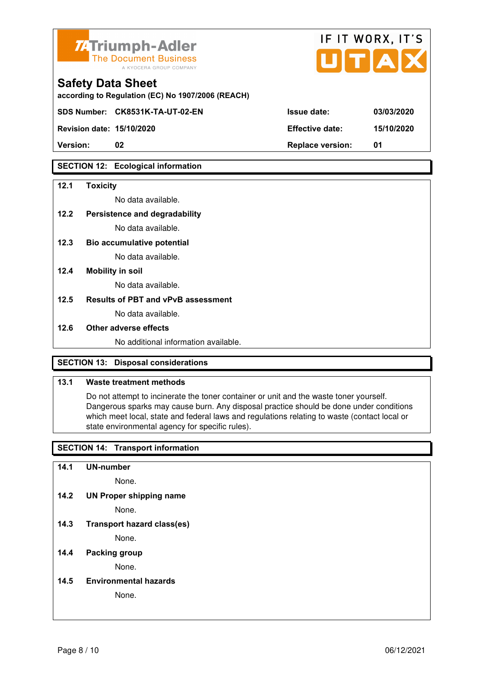

| <b>74 Triumph-Adler</b><br>The Document Business<br>A KYOCERA GROUP COMPANY   |                        | IF II WURX, II'S<br>UTAX |
|-------------------------------------------------------------------------------|------------------------|--------------------------|
| <b>Safety Data Sheet</b><br>according to Regulation (EC) No 1907/2006 (REACH) |                        |                          |
| SDS Number: CK8531K-TA-UT-02-EN                                               | <b>Issue date:</b>     | 03/03/2020               |
| <b>Revision date: 15/10/2020</b>                                              | <b>Effective date:</b> | 15/10/2020               |

 $FIT$   $MOR$ 

 $\overline{\phantom{a}}$ 

**Version: 02 Replace version: 01** 

#### **SECTION 12: Ecological information**

#### **12.1 Toxicity**

No data available.

#### **12.2 Persistence and degradability**

No data available.

- **12.3 Bio accumulative potential**  No data available.
- **12.4 Mobility in soil**

No data available.

#### **12.5 Results of PBT and vPvB assessment**

No data available.

#### **12.6 Other adverse effects**

No additional information available.

#### **SECTION 13: Disposal considerations**

#### **13.1 Waste treatment methods**

 Do not attempt to incinerate the toner container or unit and the waste toner yourself. Dangerous sparks may cause burn. Any disposal practice should be done under conditions which meet local, state and federal laws and regulations relating to waste (contact local or state environmental agency for specific rules).

#### **SECTION 14: Transport information**

**14.1 UN-number** 

None.

**14.2 UN Proper shipping name** 

None.

**14.3 Transport hazard class(es)** 

None.

#### **14.4 Packing group**

None.

**14.5 Environmental hazards** 

None.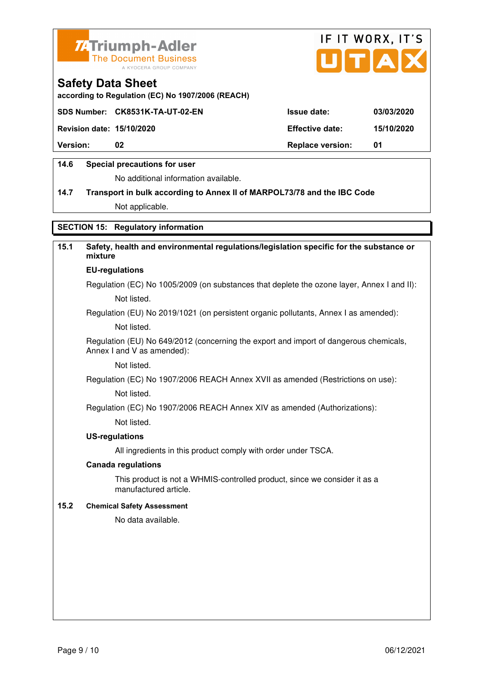



**according to Regulation (EC) No 1907/2006 (REACH)**

|                                  | SDS Number: CK8531K-TA-UT-02-EN | <b>Issue date:</b>      | 03/03/2020 |
|----------------------------------|---------------------------------|-------------------------|------------|
| <b>Revision date: 15/10/2020</b> |                                 | <b>Effective date:</b>  | 15/10/2020 |
| <b>Version:</b>                  | 02                              | <b>Replace version:</b> | - 01       |
|                                  |                                 |                         |            |

#### **14.6 Special precautions for user**

No additional information available.

# **14.7 Transport in bulk according to Annex II of MARPOL73/78 and the IBC Code**

Not applicable.

#### **SECTION 15: Regulatory information**

#### **15.1 Safety, health and environmental regulations/legislation specific for the substance or mixture EU-regulations**

Regulation (EC) No 1005/2009 (on substances that deplete the ozone layer, Annex I and II): Not listed.

Regulation (EU) No 2019/1021 (on persistent organic pollutants, Annex I as amended):

Not listed.

 Regulation (EU) No 649/2012 (concerning the export and import of dangerous chemicals, Annex I and V as amended):

Not listed.

 Regulation (EC) No 1907/2006 REACH Annex XVII as amended (Restrictions on use): Not listed.

Regulation (EC) No 1907/2006 REACH Annex XIV as amended (Authorizations):

Not listed.

#### **US-regulations**

All ingredients in this product comply with order under TSCA.

#### **Canada regulations**

 This product is not a WHMIS-controlled product, since we consider it as a manufactured article.

#### **15.2 Chemical Safety Assessment**

No data available.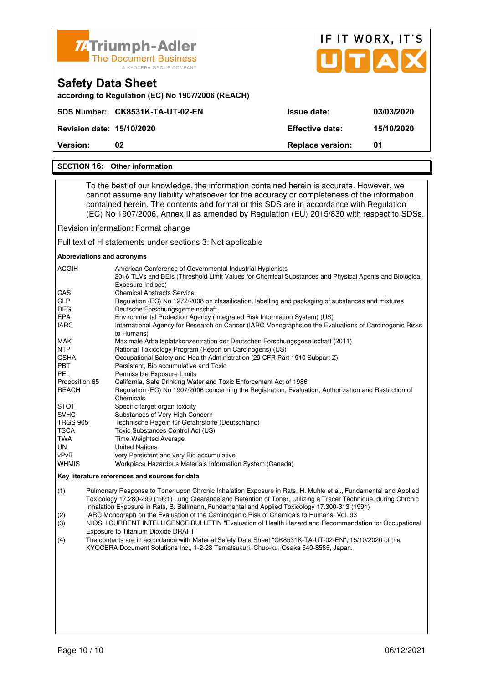

#### **SECTION 16: Other information**

 To the best of our knowledge, the information contained herein is accurate. However, we cannot assume any liability whatsoever for the accuracy or completeness of the information contained herein. The contents and format of this SDS are in accordance with Regulation (EC) No 1907/2006, Annex II as amended by Regulation (EU) 2015/830 with respect to SDSs.

Revision information: Format change

Full text of H statements under sections 3: Not applicable

#### **Abbreviations and acronyms**

| <b>ACGIH</b>    | American Conference of Governmental Industrial Hygienists<br>2016 TLVs and BEIs (Threshold Limit Values for Chemical Substances and Physical Agents and Biological<br>Exposure Indices) |
|-----------------|-----------------------------------------------------------------------------------------------------------------------------------------------------------------------------------------|
| CAS             | <b>Chemical Abstracts Service</b>                                                                                                                                                       |
| <b>CLP</b>      | Regulation (EC) No 1272/2008 on classification, labelling and packaging of substances and mixtures                                                                                      |
| <b>DFG</b>      | Deutsche Forschungsgemeinschaft                                                                                                                                                         |
| <b>EPA</b>      | Environmental Protection Agency (Integrated Risk Information System) (US)                                                                                                               |
| <b>IARC</b>     | International Agency for Research on Cancer (IARC Monographs on the Evaluations of Carcinogenic Risks<br>to Humans)                                                                     |
| <b>MAK</b>      | Maximale Arbeitsplatzkonzentration der Deutschen Forschungsgesellschaft (2011)                                                                                                          |
| <b>NTP</b>      | National Toxicology Program (Report on Carcinogens) (US)                                                                                                                                |
| <b>OSHA</b>     | Occupational Safety and Health Administration (29 CFR Part 1910 Subpart Z)                                                                                                              |
| <b>PBT</b>      | Persistent, Bio accumulative and Toxic                                                                                                                                                  |
| PEL             | Permissible Exposure Limits                                                                                                                                                             |
| Proposition 65  | California, Safe Drinking Water and Toxic Enforcement Act of 1986                                                                                                                       |
| <b>REACH</b>    | Regulation (EC) No 1907/2006 concerning the Registration, Evaluation, Authorization and Restriction of<br>Chemicals                                                                     |
| <b>STOT</b>     | Specific target organ toxicity                                                                                                                                                          |
| <b>SVHC</b>     | Substances of Very High Concern                                                                                                                                                         |
| <b>TRGS 905</b> | Technische Regeln für Gefahrstoffe (Deutschland)                                                                                                                                        |
| <b>TSCA</b>     | Toxic Substances Control Act (US)                                                                                                                                                       |
| TWA             | <b>Time Weighted Average</b>                                                                                                                                                            |
| UN              | <b>United Nations</b>                                                                                                                                                                   |
| vPvB            | very Persistent and very Bio accumulative                                                                                                                                               |
| <b>WHMIS</b>    | Workplace Hazardous Materials Information System (Canada)                                                                                                                               |

#### **Key literature references and sources for data**

(1) Pulmonary Response to Toner upon Chronic Inhalation Exposure in Rats, H. Muhle et al., Fundamental and Applied Toxicology 17.280-299 (1991) Lung Clearance and Retention of Toner, Utilizing a Tracer Technique, during Chronic Inhalation Exposure in Rats, B. Bellmann, Fundamental and Applied Toxicology 17.300-313 (1991)

(2) IARC Monograph on the Evaluation of the Carcinogenic Risk of Chemicals to Humans, Vol. 93

(3) NIOSH CURRENT INTELLIGENCE BULLETIN "Evaluation of Health Hazard and Recommendation for Occupational Exposure to Titanium Dioxide DRAFT"

(4) The contents are in accordance with Material Safety Data Sheet "CK8531K-TA-UT-02-EN"; 15/10/2020 of the KYOCERA Document Solutions Inc., 1-2-28 Tamatsukuri, Chuo-ku, Osaka 540-8585, Japan.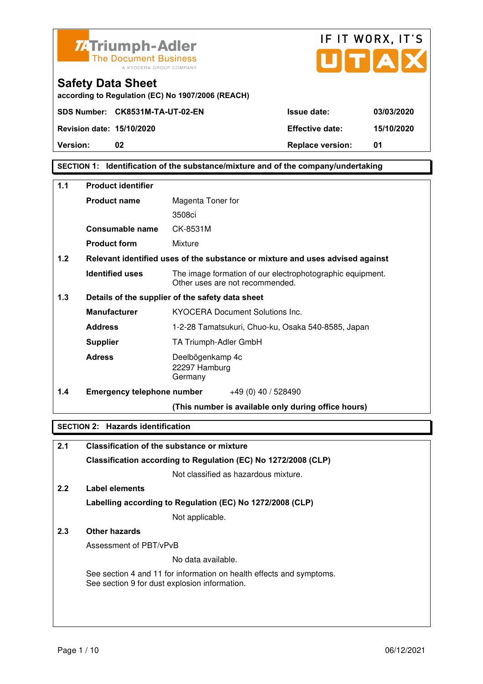



**according to Regulation (EC) No 1907/2006 (REACH)**

**SECTION 1: Identification of the substance/mixture and of the company/undertaking** 

| 1.1   | <b>Product identifier</b>         |                                                                                              |
|-------|-----------------------------------|----------------------------------------------------------------------------------------------|
|       | <b>Product name</b>               | Magenta Toner for                                                                            |
|       |                                   | 3508ci                                                                                       |
|       | Consumable name                   | CK-8531M                                                                                     |
|       | <b>Product form</b>               | Mixture                                                                                      |
| 1.2   |                                   | Relevant identified uses of the substance or mixture and uses advised against                |
|       | <b>Identified uses</b>            | The image formation of our electrophotographic equipment.<br>Other uses are not recommended. |
| $1.3$ |                                   | Details of the supplier of the safety data sheet                                             |
|       | <b>Manufacturer</b>               | <b>KYOCERA Document Solutions Inc.</b>                                                       |
|       | <b>Address</b>                    | 1-2-28 Tamatsukuri, Chuo-ku, Osaka 540-8585, Japan                                           |
|       | <b>Supplier</b>                   | TA Triumph-Adler GmbH                                                                        |
|       | <b>Adress</b>                     | Deelbögenkamp 4c<br>22297 Hamburg<br>Germany                                                 |
| 1.4   | <b>Emergency telephone number</b> | $+49(0)$ 40 / 528490                                                                         |
|       |                                   | (This number is available only during office hours)                                          |

#### **SECTION 2: Hazards identification**

| 2.1 | <b>Classification of the substance or mixture</b>                                                                     |
|-----|-----------------------------------------------------------------------------------------------------------------------|
|     | Classification according to Regulation (EC) No 1272/2008 (CLP)                                                        |
|     | Not classified as hazardous mixture.                                                                                  |
| 2.2 | Label elements                                                                                                        |
|     | Labelling according to Regulation (EC) No 1272/2008 (CLP)                                                             |
|     | Not applicable.                                                                                                       |
| 2.3 | Other hazards                                                                                                         |
|     | Assessment of PBT/vPvB                                                                                                |
|     | No data available.                                                                                                    |
|     | See section 4 and 11 for information on health effects and symptoms.<br>See section 9 for dust explosion information. |
|     |                                                                                                                       |
|     |                                                                                                                       |
|     |                                                                                                                       |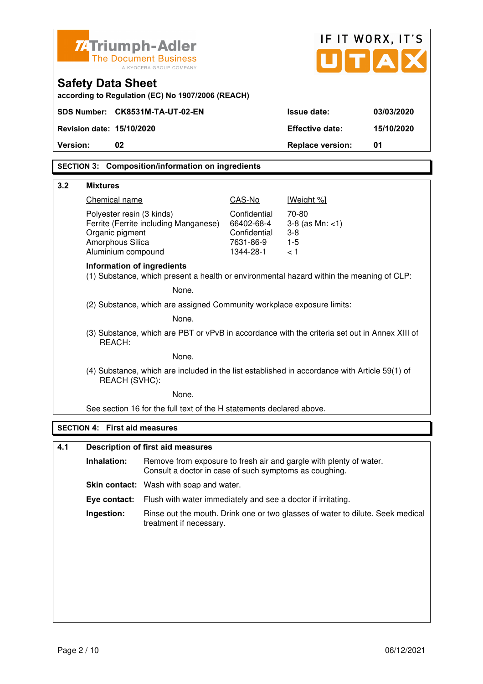| <b>ZATriumph-Adler</b>                                                                                  | <b>The Document Business</b><br>A KYOCERA GROUP COMPANY                                                                      |                                                         | UTA                                                 | IF IT WORX, IT'S |
|---------------------------------------------------------------------------------------------------------|------------------------------------------------------------------------------------------------------------------------------|---------------------------------------------------------|-----------------------------------------------------|------------------|
| <b>Safety Data Sheet</b>                                                                                | according to Regulation (EC) No 1907/2006 (REACH)                                                                            |                                                         |                                                     |                  |
| SDS Number: CK8531M-TA-UT-02-EN                                                                         |                                                                                                                              |                                                         | <b>Issue date:</b>                                  | 03/03/2020       |
| Revision date: 15/10/2020                                                                               |                                                                                                                              |                                                         | <b>Effective date:</b>                              | 15/10/2020       |
| 02<br>Version:                                                                                          |                                                                                                                              |                                                         | <b>Replace version:</b>                             | 01               |
|                                                                                                         | <b>SECTION 3: Composition/information on ingredients</b>                                                                     |                                                         |                                                     |                  |
| 3.2<br><b>Mixtures</b>                                                                                  |                                                                                                                              |                                                         |                                                     |                  |
| Chemical name                                                                                           |                                                                                                                              | CAS-No                                                  | [Weight %]                                          |                  |
| Polyester resin (3 kinds)<br>Organic pigment<br>Amorphous Silica                                        | Ferrite (Ferrite including Manganese)                                                                                        | Confidential<br>66402-68-4<br>Confidential<br>7631-86-9 | 70-80<br>$3-8$ (as Mn: $<1$ )<br>$3 - 8$<br>$1 - 5$ |                  |
| Aluminium compound<br><b>Information of ingredients</b>                                                 | (1) Substance, which present a health or environmental hazard within the meaning of CLP:                                     | 1344-28-1                                               | < 1                                                 |                  |
|                                                                                                         | None.                                                                                                                        |                                                         |                                                     |                  |
| (2) Substance, which are assigned Community workplace exposure limits:                                  |                                                                                                                              |                                                         |                                                     |                  |
| None.                                                                                                   |                                                                                                                              |                                                         |                                                     |                  |
| (3) Substance, which are PBT or vPvB in accordance with the criteria set out in Annex XIII of<br>REACH: |                                                                                                                              |                                                         |                                                     |                  |
| None.                                                                                                   |                                                                                                                              |                                                         |                                                     |                  |
|                                                                                                         | (4) Substance, which are included in the list established in accordance with Article 59(1) of<br>REACH (SVHC):               |                                                         |                                                     |                  |
|                                                                                                         | None.                                                                                                                        |                                                         |                                                     |                  |
|                                                                                                         | See section 16 for the full text of the H statements declared above.                                                         |                                                         |                                                     |                  |
| <b>SECTION 4: First aid measures</b>                                                                    |                                                                                                                              |                                                         |                                                     |                  |
| 4.1                                                                                                     | <b>Description of first aid measures</b>                                                                                     |                                                         |                                                     |                  |
| Inhalation:                                                                                             | Remove from exposure to fresh air and gargle with plenty of water.<br>Consult a doctor in case of such symptoms as coughing. |                                                         |                                                     |                  |
|                                                                                                         | Skin contact: Wash with soap and water.                                                                                      |                                                         |                                                     |                  |
| Eye contact:                                                                                            | Flush with water immediately and see a doctor if irritating.                                                                 |                                                         |                                                     |                  |
| Ingestion:                                                                                              | Rinse out the mouth. Drink one or two glasses of water to dilute. Seek medical<br>treatment if necessary.                    |                                                         |                                                     |                  |
|                                                                                                         |                                                                                                                              |                                                         |                                                     |                  |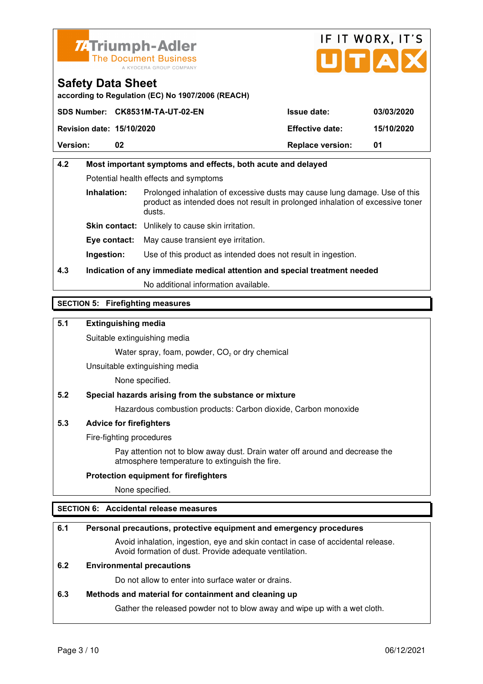



**according to Regulation (EC) No 1907/2006 (REACH)**

|                                  | SDS Number: CK8531M-TA-UT-02-EN | <b>Issue date:</b>      | 03/03/2020 |
|----------------------------------|---------------------------------|-------------------------|------------|
| <b>Revision date: 15/10/2020</b> |                                 | <b>Effective date:</b>  | 15/10/2020 |
| <b>Version:</b>                  | 02                              | <b>Replace version:</b> | 01         |

### **4.2 Most important symptoms and effects, both acute and delayed**  Potential health effects and symptoms **Inhalation:** Prolonged inhalation of excessive dusts may cause lung damage. Use of this product as intended does not result in prolonged inhalation of excessive toner dusts. **Skin contact:** Unlikely to cause skin irritation. **Eye contact:** May cause transient eye irritation.

**Ingestion:** Use of this product as intended does not result in ingestion.

### **4.3 Indication of any immediate medical attention and special treatment needed**

No additional information available.

#### **SECTION 5: Firefighting measures**

#### **5.1 Extinguishing media**

Suitable extinguishing media

Water spray, foam, powder,  $CO<sub>2</sub>$  or dry chemical

Unsuitable extinguishing media

None specified.

#### **5.2 Special hazards arising from the substance or mixture**

Hazardous combustion products: Carbon dioxide, Carbon monoxide

#### **5.3 Advice for firefighters**

Fire-fighting procedures

 Pay attention not to blow away dust. Drain water off around and decrease the atmosphere temperature to extinguish the fire.

#### **Protection equipment for firefighters**

None specified.

#### **SECTION 6: Accidental release measures**

#### **6.1 Personal precautions, protective equipment and emergency procedures**

 Avoid inhalation, ingestion, eye and skin contact in case of accidental release. Avoid formation of dust. Provide adequate ventilation.

#### **6.2 Environmental precautions**

Do not allow to enter into surface water or drains.

#### **6.3 Methods and material for containment and cleaning up**

Gather the released powder not to blow away and wipe up with a wet cloth.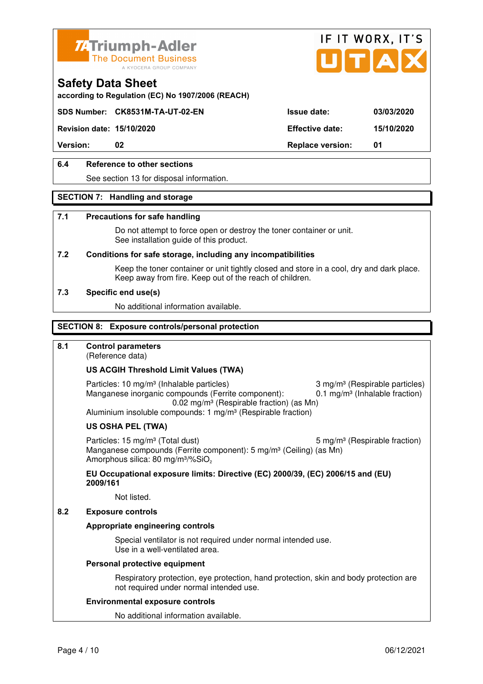



**according to Regulation (EC) No 1907/2006 (REACH)**

#### **SDS Number: CK8531M-TA-UT-02-EN Issue date: 03/03/2020**

**Revision date: 15/10/2020 Effective date: 15/10/2020** 

**Version:** 02 **Replace version:** 01

#### **6.4 Reference to other sections**

See section 13 for disposal information.

#### **SECTION 7: Handling and storage**

#### **7.1 Precautions for safe handling**

 Do not attempt to force open or destroy the toner container or unit. See installation guide of this product.

#### **7.2 Conditions for safe storage, including any incompatibilities**

Keep the toner container or unit tightly closed and store in a cool, dry and dark place. Keep away from fire. Keep out of the reach of children.

#### **7.3 Specific end use(s)**

No additional information available.

#### **SECTION 8: Exposure controls/personal protection**

#### **8.1 Control parameters**

(Reference data)

#### **US ACGIH Threshold Limit Values (TWA)**

Particles: 10 mg/m<sup>3</sup> (Inhalable particles) 3 mg/m<sup>3</sup> (Respirable particles) Manganese inorganic compounds (Ferrite component):  $0.1 \text{ mg/m}^3$  (Inhalable fraction) 0.02 mg/m³ (Respirable fraction) (as Mn) Aluminium insoluble compounds: 1 mg/m<sup>3</sup> (Respirable fraction)

#### **US OSHA PEL (TWA)**

Particles: 15 mg/m<sup>3</sup> (Total dust) 5 mg/m<sup>3</sup> (Respirable fraction) Manganese compounds (Ferrite component): 5 mg/m<sup>3</sup> (Ceiling) (as Mn) Amorphous silica: 80 mg/m<sup>3</sup>/%SiO<sub>2</sub>

#### **EU Occupational exposure limits: Directive (EC) 2000/39, (EC) 2006/15 and (EU) 2009/161**

Not listed.

#### **8.2 Exposure controls**

#### **Appropriate engineering controls**

 Special ventilator is not required under normal intended use. Use in a well-ventilated area.

#### **Personal protective equipment**

 Respiratory protection, eye protection, hand protection, skin and body protection are not required under normal intended use.

#### **Environmental exposure controls**

No additional information available.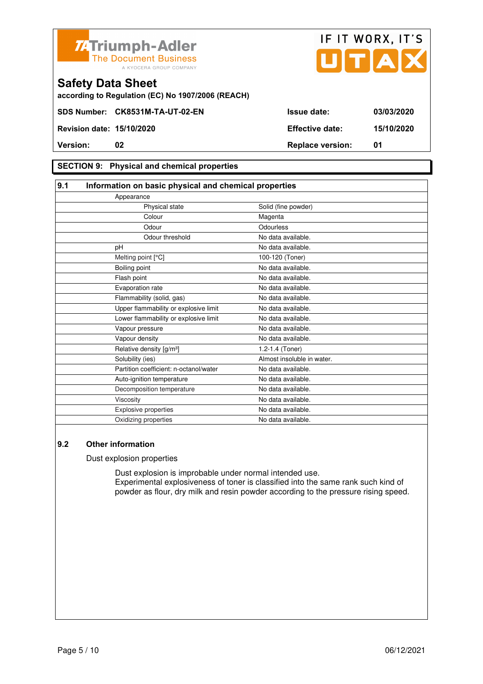



**according to Regulation (EC) No 1907/2006 (REACH)**

#### **SECTION 9: Physical and chemical properties**

#### **9.1 Information on basic physical and chemical properties** Appearance Physical state Solid (fine powder) Colour Magenta Odour **Odourless** Odour threshold No data available. pH No data available. Melting point [°C] 100-120 (Toner) Boiling point No data available. Flash point **No data available.** Evaporation rate **No assume that the Contract Contract Contract Contract Contract Contract Contract Contract Contract Contract Contract Contract Contract Contract Contract Contract Contract Contract Contract Contract Contr** Flammability (solid, gas) No data available. Upper flammability or explosive limit No data available. Lower flammability or explosive limit No data available. Vapour pressure No data available. Vapour density **No data available.** Relative density  $[g/m^3]$  1.2-1.4 (Toner) Solubility (ies) Almost insoluble in water. Partition coefficient: n-octanol/water No data available. Auto-ignition temperature No data available. Decomposition temperature No data available. Viscosity **No data available.** Explosive properties **No data available**. Oxidizing properties No data available.

#### **9.2 Other information**

Dust explosion properties

 Dust explosion is improbable under normal intended use. Experimental explosiveness of toner is classified into the same rank such kind of powder as flour, dry milk and resin powder according to the pressure rising speed.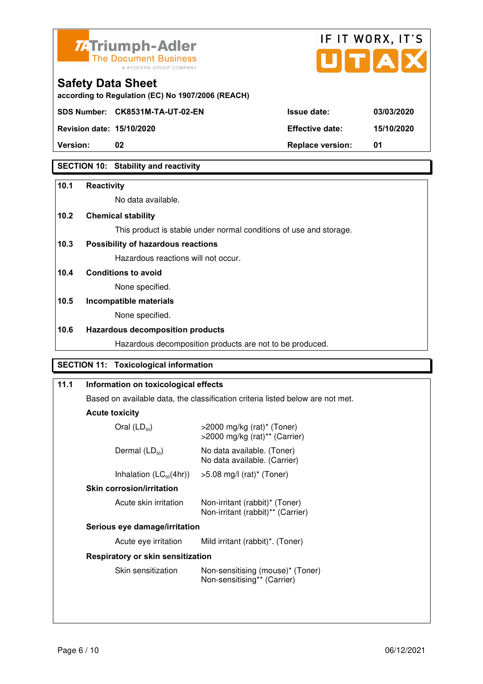



**Revision date: 15/10/2020 Effective date: 15/10/2020** 

**Safety Data Sheet** 

# **Version:** 02 **Replace version:** 01

#### **SECTION 10: Stability and reactivity**

#### **10.1 Reactivity**

No data available.

#### **10.2 Chemical stability**

This product is stable under normal conditions of use and storage.

#### **10.3 Possibility of hazardous reactions**

Hazardous reactions will not occur.

#### **10.4 Conditions to avoid**

None specified.

### **10.5 Incompatible materials**

None specified.

#### **10.6 Hazardous decomposition products**

Hazardous decomposition products are not to be produced.

#### **SECTION 11: Toxicological information**

| 11.1 |                                          | Information on toxicological effects                                           |  |  |
|------|------------------------------------------|--------------------------------------------------------------------------------|--|--|
|      |                                          | Based on available data, the classification criteria listed below are not met. |  |  |
|      | <b>Acute toxicity</b>                    |                                                                                |  |  |
|      | Oral $(LD_{50})$                         | $>$ 2000 mg/kg (rat)* (Toner)<br>$>$ 2000 mg/kg (rat) <sup>**</sup> (Carrier)  |  |  |
|      | Dermal $(LD_{50})$                       | No data available. (Toner)<br>No data available. (Carrier)                     |  |  |
|      | Inhalation $(LC_{50}(4hr))$              | >5.08 mg/l (rat)* (Toner)                                                      |  |  |
|      | <b>Skin corrosion/irritation</b>         |                                                                                |  |  |
|      | Acute skin irritation                    | Non-irritant (rabbit)* (Toner)<br>Non-irritant (rabbit)** (Carrier)            |  |  |
|      | Serious eye damage/irritation            |                                                                                |  |  |
|      | Acute eye irritation                     | Mild irritant (rabbit)*. (Toner)                                               |  |  |
|      | <b>Respiratory or skin sensitization</b> |                                                                                |  |  |
|      | Skin sensitization                       | Non-sensitising (mouse)* (Toner)<br>Non-sensitising** (Carrier)                |  |  |
|      |                                          |                                                                                |  |  |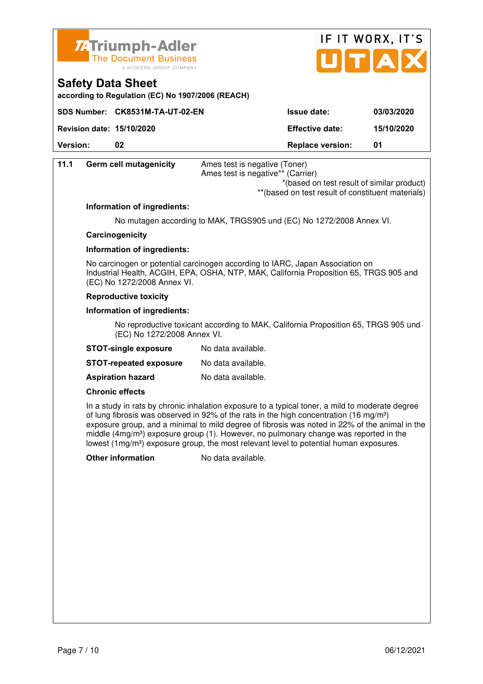

**according to Regulation (EC) No 1907/2006 (REACH)**

**Safety Data Sheet** 



| SDS Number: CK8531M-TA-UT-02-EN       |                                   | <b>Issue date:</b>                                 | 03/03/2020 |
|---------------------------------------|-----------------------------------|----------------------------------------------------|------------|
| <b>Revision date: 15/10/2020</b>      |                                   | <b>Effective date:</b>                             | 15/10/2020 |
| Version:<br>02                        |                                   | <b>Replace version:</b>                            | 01         |
| <b>Germ cell mutagenicity</b><br>11.1 | Ames test is negative (Toner)     |                                                    |            |
|                                       | Ames test is negative** (Carrier) |                                                    |            |
|                                       |                                   | *(based on test result of similar product)         |            |
|                                       |                                   | ** (based on test result of constituent materials) |            |

#### **Information of ingredients:**

No mutagen according to MAK, TRGS905 und (EC) No 1272/2008 Annex VI.

#### **Carcinogenicity**

#### **Information of ingredients:**

 No carcinogen or potential carcinogen according to IARC, Japan Association on Industrial Health, ACGIH, EPA, OSHA, NTP, MAK, California Proposition 65, TRGS 905 and (EC) No 1272/2008 Annex VI.

#### **Reproductive toxicity**

#### **Information of ingredients:**

 No reproductive toxicant according to MAK, California Proposition 65, TRGS 905 und (EC) No 1272/2008 Annex VI.

| <b>STOT-single exposure</b> | No data available. |
|-----------------------------|--------------------|
|-----------------------------|--------------------|

**STOT-repeated exposure** No data available.

**Aspiration hazard** No data available.

#### **Chronic effects**

 In a study in rats by chronic inhalation exposure to a typical toner, a mild to moderate degree of lung fibrosis was observed in 92% of the rats in the high concentration (16 mg/m<sup>3</sup>) exposure group, and a minimal to mild degree of fibrosis was noted in 22% of the animal in the middle (4mg/m<sup>3</sup>) exposure group (1). However, no pulmonary change was reported in the lowest  $(1 \text{mg/m}^3)$  exposure group, the most relevant level to potential human exposures.

**Other information** No data available.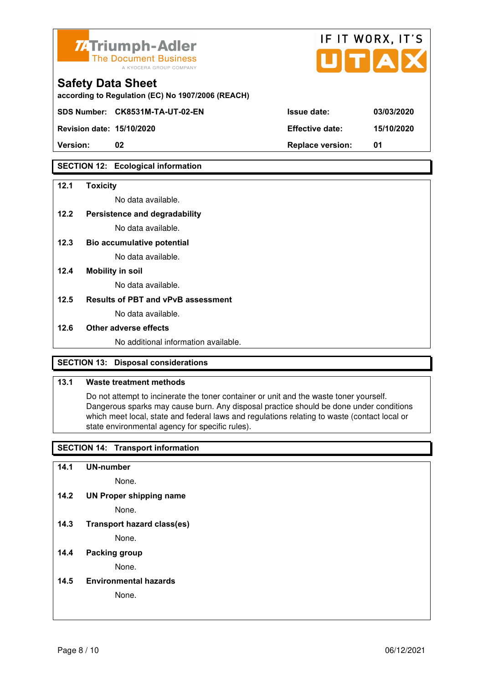

| <b>74 Triumph-Adler</b><br>The Document Business<br>A KYOCERA GROUP COMPANY   |                        | IF IT WORX, IT'S<br>UTAX |
|-------------------------------------------------------------------------------|------------------------|--------------------------|
| <b>Safety Data Sheet</b><br>according to Regulation (EC) No 1907/2006 (REACH) |                        |                          |
| SDS Number: CK8531M-TA-UT-02-EN                                               | Issue date:            | 03/03/2020               |
| <b>Revision date: 15/10/2020</b>                                              | <b>Effective date:</b> | 15/10/2020               |
|                                                                               |                        |                          |

**SECTION 12: Ecological information** 

#### **12.1 Toxicity**

No data available.

#### **12.2 Persistence and degradability**

No data available.

- **12.3 Bio accumulative potential**  No data available.
- **12.4 Mobility in soil**

No data available.

#### **12.5 Results of PBT and vPvB assessment**

No data available.

#### **12.6 Other adverse effects**

No additional information available.

**Version: 02 Replace version: 01** 

#### **SECTION 13: Disposal considerations**

#### **13.1 Waste treatment methods**

 Do not attempt to incinerate the toner container or unit and the waste toner yourself. Dangerous sparks may cause burn. Any disposal practice should be done under conditions which meet local, state and federal laws and regulations relating to waste (contact local or state environmental agency for specific rules).

#### **SECTION 14: Transport information**

**14.1 UN-number** 

None.

**14.2 UN Proper shipping name** 

None.

**14.3 Transport hazard class(es)** 

None.

#### **14.4 Packing group**

None.

**14.5 Environmental hazards** 

None.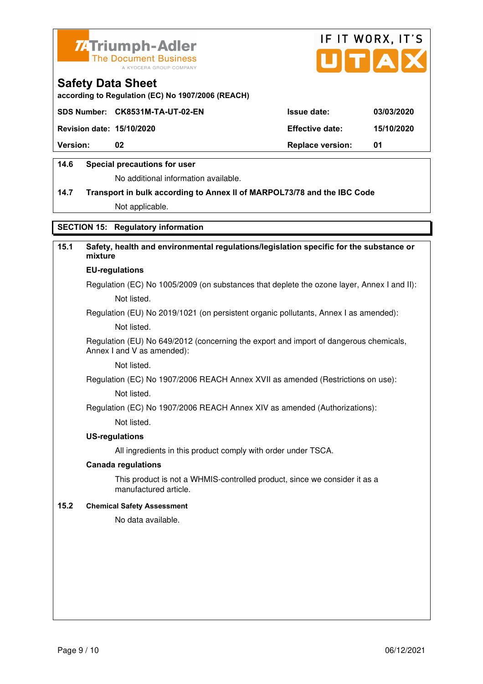



**according to Regulation (EC) No 1907/2006 (REACH)**

|                                  | SDS Number: CK8531M-TA-UT-02-EN | <b>Issue date:</b>      | 03/03/2020 |
|----------------------------------|---------------------------------|-------------------------|------------|
| <b>Revision date: 15/10/2020</b> |                                 | <b>Effective date:</b>  | 15/10/2020 |
| <b>Version:</b>                  | 02                              | <b>Replace version:</b> | -01        |
|                                  |                                 |                         |            |

#### **14.6 Special precautions for user**

No additional information available.

# **14.7 Transport in bulk according to Annex II of MARPOL73/78 and the IBC Code**

Not applicable.

#### **SECTION 15: Regulatory information**

### **15.1 Safety, health and environmental regulations/legislation specific for the substance or mixture**

### **EU-regulations**

Regulation (EC) No 1005/2009 (on substances that deplete the ozone layer, Annex I and II): Not listed.

Regulation (EU) No 2019/1021 (on persistent organic pollutants, Annex I as amended):

Not listed.

 Regulation (EU) No 649/2012 (concerning the export and import of dangerous chemicals, Annex I and V as amended):

Not listed.

 Regulation (EC) No 1907/2006 REACH Annex XVII as amended (Restrictions on use): Not listed.

Regulation (EC) No 1907/2006 REACH Annex XIV as amended (Authorizations):

Not listed.

#### **US-regulations**

All ingredients in this product comply with order under TSCA.

#### **Canada regulations**

 This product is not a WHMIS-controlled product, since we consider it as a manufactured article.

#### **15.2 Chemical Safety Assessment**

No data available.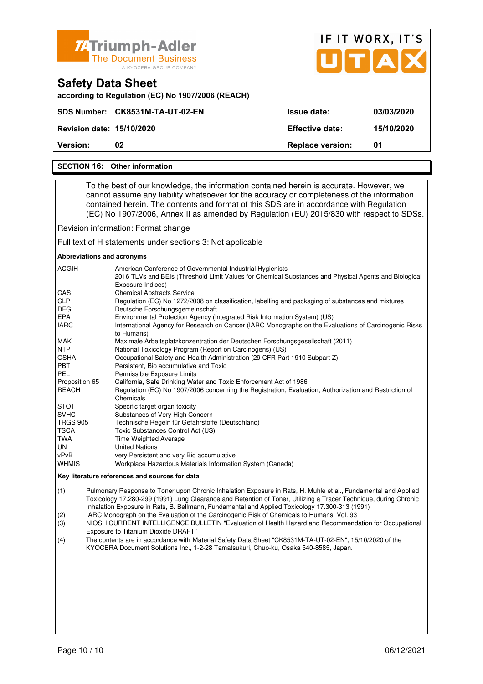

#### **SECTION 16: Other information**

 To the best of our knowledge, the information contained herein is accurate. However, we cannot assume any liability whatsoever for the accuracy or completeness of the information contained herein. The contents and format of this SDS are in accordance with Regulation (EC) No 1907/2006, Annex II as amended by Regulation (EU) 2015/830 with respect to SDSs.

Revision information: Format change

Full text of H statements under sections 3: Not applicable

#### **Abbreviations and acronyms**

| <b>ACGIH</b>    | American Conference of Governmental Industrial Hygienists<br>2016 TLVs and BEIs (Threshold Limit Values for Chemical Substances and Physical Agents and Biological<br>Exposure Indices) |
|-----------------|-----------------------------------------------------------------------------------------------------------------------------------------------------------------------------------------|
| <b>CAS</b>      | <b>Chemical Abstracts Service</b>                                                                                                                                                       |
| <b>CLP</b>      | Regulation (EC) No 1272/2008 on classification, labelling and packaging of substances and mixtures                                                                                      |
| <b>DFG</b>      | Deutsche Forschungsgemeinschaft                                                                                                                                                         |
| <b>EPA</b>      | Environmental Protection Agency (Integrated Risk Information System) (US)                                                                                                               |
| <b>IARC</b>     | International Agency for Research on Cancer (IARC Monographs on the Evaluations of Carcinogenic Risks<br>to Humans)                                                                     |
| <b>MAK</b>      | Maximale Arbeitsplatzkonzentration der Deutschen Forschungsgesellschaft (2011)                                                                                                          |
| <b>NTP</b>      | National Toxicology Program (Report on Carcinogens) (US)                                                                                                                                |
| <b>OSHA</b>     | Occupational Safety and Health Administration (29 CFR Part 1910 Subpart Z)                                                                                                              |
| <b>PBT</b>      | Persistent, Bio accumulative and Toxic                                                                                                                                                  |
| PEL             | Permissible Exposure Limits                                                                                                                                                             |
| Proposition 65  | California, Safe Drinking Water and Toxic Enforcement Act of 1986                                                                                                                       |
| REACH           | Regulation (EC) No 1907/2006 concerning the Registration, Evaluation, Authorization and Restriction of<br>Chemicals                                                                     |
| <b>STOT</b>     | Specific target organ toxicity                                                                                                                                                          |
| <b>SVHC</b>     | Substances of Very High Concern                                                                                                                                                         |
| <b>TRGS 905</b> | Technische Regeln für Gefahrstoffe (Deutschland)                                                                                                                                        |
| TSCA            | Toxic Substances Control Act (US)                                                                                                                                                       |
| TWA             | <b>Time Weighted Average</b>                                                                                                                                                            |
| UN              | <b>United Nations</b>                                                                                                                                                                   |
| vPvB            | very Persistent and very Bio accumulative                                                                                                                                               |
| <b>WHMIS</b>    | Workplace Hazardous Materials Information System (Canada)                                                                                                                               |

#### **Key literature references and sources for data**

(1) Pulmonary Response to Toner upon Chronic Inhalation Exposure in Rats, H. Muhle et al., Fundamental and Applied Toxicology 17.280-299 (1991) Lung Clearance and Retention of Toner, Utilizing a Tracer Technique, during Chronic Inhalation Exposure in Rats, B. Bellmann, Fundamental and Applied Toxicology 17.300-313 (1991)

(2) IARC Monograph on the Evaluation of the Carcinogenic Risk of Chemicals to Humans, Vol. 93

(3) NIOSH CURRENT INTELLIGENCE BULLETIN "Evaluation of Health Hazard and Recommendation for Occupational Exposure to Titanium Dioxide DRAFT"

(4) The contents are in accordance with Material Safety Data Sheet "CK8531M-TA-UT-02-EN"; 15/10/2020 of the KYOCERA Document Solutions Inc., 1-2-28 Tamatsukuri, Chuo-ku, Osaka 540-8585, Japan.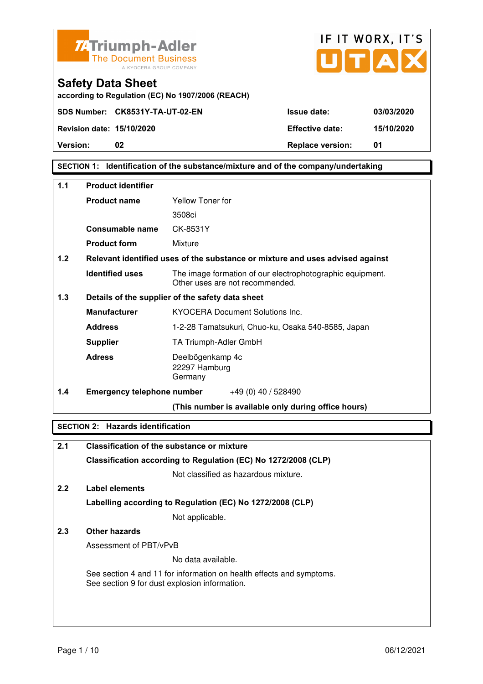![](_page_30_Picture_0.jpeg)

![](_page_30_Picture_1.jpeg)

**according to Regulation (EC) No 1907/2006 (REACH)**

**SECTION 1: Identification of the substance/mixture and of the company/undertaking** 

| 1.1 | <b>Product identifier</b>         |                                                                                              |
|-----|-----------------------------------|----------------------------------------------------------------------------------------------|
|     | <b>Product name</b>               | Yellow Toner for                                                                             |
|     |                                   | 3508ci                                                                                       |
|     | Consumable name                   | CK-8531Y                                                                                     |
|     | <b>Product form</b>               | Mixture                                                                                      |
| 1.2 |                                   | Relevant identified uses of the substance or mixture and uses advised against                |
|     | <b>Identified uses</b>            | The image formation of our electrophotographic equipment.<br>Other uses are not recommended. |
| 1.3 |                                   | Details of the supplier of the safety data sheet                                             |
|     | <b>Manufacturer</b>               | <b>KYOCERA Document Solutions Inc.</b>                                                       |
|     | <b>Address</b>                    | 1-2-28 Tamatsukuri, Chuo-ku, Osaka 540-8585, Japan                                           |
|     | <b>Supplier</b>                   | TA Triumph-Adler GmbH                                                                        |
|     | <b>Adress</b>                     | Deelbögenkamp 4c<br>22297 Hamburg<br>Germany                                                 |
| 1.4 | <b>Emergency telephone number</b> | $+49(0)$ 40 / 528490                                                                         |
|     |                                   | (This number is available only during office hours)                                          |

#### **SECTION 2: Hazards identification**

| 2.1 | <b>Classification of the substance or mixture</b>                                                                     |
|-----|-----------------------------------------------------------------------------------------------------------------------|
|     | Classification according to Regulation (EC) No 1272/2008 (CLP)                                                        |
|     | Not classified as hazardous mixture.                                                                                  |
| 2.2 | Label elements                                                                                                        |
|     | Labelling according to Regulation (EC) No 1272/2008 (CLP)                                                             |
|     | Not applicable.                                                                                                       |
| 2.3 | Other hazards                                                                                                         |
|     | Assessment of PBT/vPvB                                                                                                |
|     | No data available.                                                                                                    |
|     | See section 4 and 11 for information on health effects and symptoms.<br>See section 9 for dust explosion information. |
|     |                                                                                                                       |
|     |                                                                                                                       |
|     |                                                                                                                       |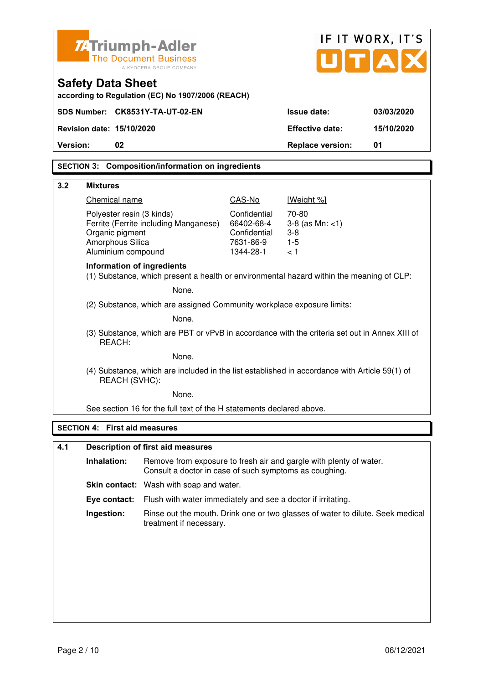| <b>ZATriumph-Adler</b>                                                                                  | <b>The Document Business</b><br>A KYOCERA GROUP COMPANY                                                                      |                            | UTA                           | IF IT WORX, IT'S |
|---------------------------------------------------------------------------------------------------------|------------------------------------------------------------------------------------------------------------------------------|----------------------------|-------------------------------|------------------|
| <b>Safety Data Sheet</b>                                                                                | according to Regulation (EC) No 1907/2006 (REACH)                                                                            |                            |                               |                  |
| SDS Number: CK8531Y-TA-UT-02-EN                                                                         |                                                                                                                              |                            | <b>Issue date:</b>            | 03/03/2020       |
| Revision date: 15/10/2020                                                                               |                                                                                                                              |                            | <b>Effective date:</b>        | 15/10/2020       |
| 02<br>Version:                                                                                          |                                                                                                                              |                            | <b>Replace version:</b>       | 01               |
|                                                                                                         | <b>SECTION 3: Composition/information on ingredients</b>                                                                     |                            |                               |                  |
|                                                                                                         |                                                                                                                              |                            |                               |                  |
| 3.2<br><b>Mixtures</b>                                                                                  |                                                                                                                              |                            |                               |                  |
| Chemical name                                                                                           |                                                                                                                              | CAS-No                     | [Weight %]                    |                  |
| Polyester resin (3 kinds)                                                                               | Ferrite (Ferrite including Manganese)                                                                                        | Confidential<br>66402-68-4 | 70-80<br>$3-8$ (as Mn: $<1$ ) |                  |
| Organic pigment                                                                                         |                                                                                                                              | Confidential               | $3 - 8$                       |                  |
| Amorphous Silica<br>Aluminium compound                                                                  |                                                                                                                              | 7631-86-9<br>1344-28-1     | $1 - 5$<br>< 1                |                  |
| <b>Information of ingredients</b>                                                                       | (1) Substance, which present a health or environmental hazard within the meaning of CLP:                                     |                            |                               |                  |
|                                                                                                         | None.                                                                                                                        |                            |                               |                  |
|                                                                                                         | (2) Substance, which are assigned Community workplace exposure limits:                                                       |                            |                               |                  |
|                                                                                                         | None.                                                                                                                        |                            |                               |                  |
| (3) Substance, which are PBT or vPvB in accordance with the criteria set out in Annex XIII of<br>REACH: |                                                                                                                              |                            |                               |                  |
|                                                                                                         | None.                                                                                                                        |                            |                               |                  |
| REACH (SVHC):                                                                                           | (4) Substance, which are included in the list established in accordance with Article 59(1) of                                |                            |                               |                  |
|                                                                                                         | None.                                                                                                                        |                            |                               |                  |
|                                                                                                         | See section 16 for the full text of the H statements declared above.                                                         |                            |                               |                  |
| <b>SECTION 4: First aid measures</b>                                                                    |                                                                                                                              |                            |                               |                  |
| 4.1                                                                                                     | <b>Description of first aid measures</b>                                                                                     |                            |                               |                  |
| Inhalation:                                                                                             | Remove from exposure to fresh air and gargle with plenty of water.<br>Consult a doctor in case of such symptoms as coughing. |                            |                               |                  |
|                                                                                                         | Skin contact: Wash with soap and water.                                                                                      |                            |                               |                  |
| Eye contact:                                                                                            | Flush with water immediately and see a doctor if irritating.                                                                 |                            |                               |                  |
| Ingestion:                                                                                              | Rinse out the mouth. Drink one or two glasses of water to dilute. Seek medical<br>treatment if necessary.                    |                            |                               |                  |
|                                                                                                         |                                                                                                                              |                            |                               |                  |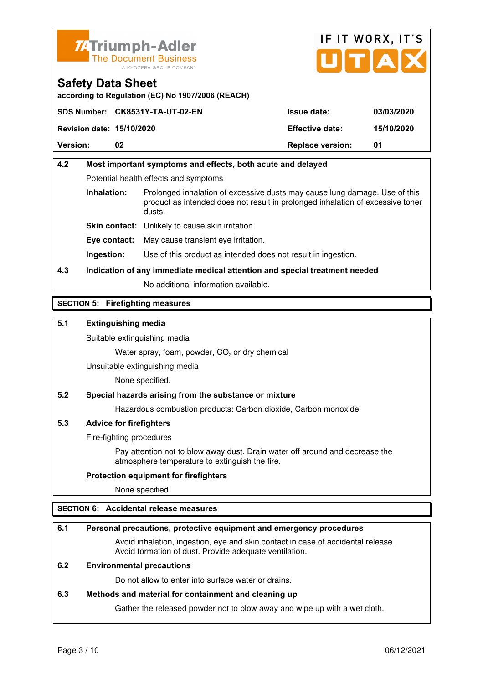![](_page_32_Picture_0.jpeg)

![](_page_32_Picture_1.jpeg)

**according to Regulation (EC) No 1907/2006 (REACH)**

|                                  | SDS Number: CK8531Y-TA-UT-02-EN | <b>Issue date:</b>      | 03/03/2020 |
|----------------------------------|---------------------------------|-------------------------|------------|
| <b>Revision date: 15/10/2020</b> |                                 | <b>Effective date:</b>  | 15/10/2020 |
| <b>Version:</b>                  | 02                              | <b>Replace version:</b> | 01         |

### **4.2 Most important symptoms and effects, both acute and delayed**  Potential health effects and symptoms **Inhalation:** Prolonged inhalation of excessive dusts may cause lung damage. Use of this product as intended does not result in prolonged inhalation of excessive toner dusts. **Skin contact:** Unlikely to cause skin irritation. **Eye contact:** May cause transient eye irritation.

**Ingestion:** Use of this product as intended does not result in ingestion.

### **4.3 Indication of any immediate medical attention and special treatment needed**

No additional information available.

#### **SECTION 5: Firefighting measures**

#### **5.1 Extinguishing media**

Suitable extinguishing media

Water spray, foam, powder,  $CO<sub>2</sub>$  or dry chemical

Unsuitable extinguishing media

None specified.

#### **5.2 Special hazards arising from the substance or mixture**

Hazardous combustion products: Carbon dioxide, Carbon monoxide

#### **5.3 Advice for firefighters**

Fire-fighting procedures

 Pay attention not to blow away dust. Drain water off around and decrease the atmosphere temperature to extinguish the fire.

#### **Protection equipment for firefighters**

None specified.

#### **SECTION 6: Accidental release measures**

#### **6.1 Personal precautions, protective equipment and emergency procedures**

 Avoid inhalation, ingestion, eye and skin contact in case of accidental release. Avoid formation of dust. Provide adequate ventilation.

#### **6.2 Environmental precautions**

Do not allow to enter into surface water or drains.

#### **6.3 Methods and material for containment and cleaning up**

Gather the released powder not to blow away and wipe up with a wet cloth.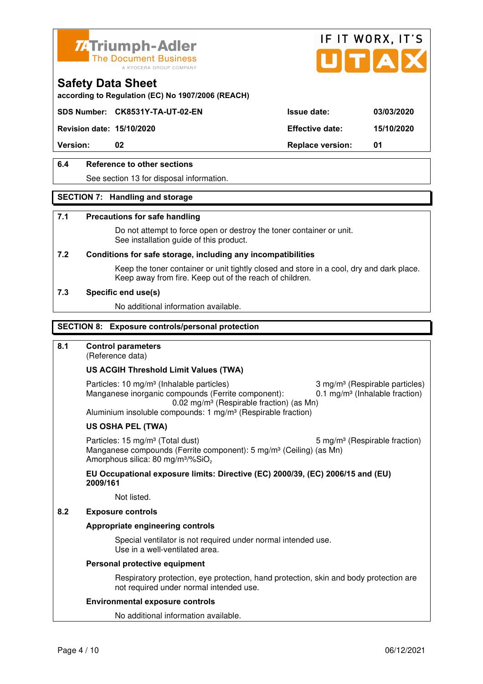![](_page_33_Picture_0.jpeg)

![](_page_33_Picture_1.jpeg)

**according to Regulation (EC) No 1907/2006 (REACH)**

#### **SDS Number: CK8531Y-TA-UT-02-EN Issue date: 03/03/2020**

**Revision date: 15/10/2020 Effective date: 15/10/2020** 

**Version:** 02 **Replace version:** 01

#### **6.4 Reference to other sections**

See section 13 for disposal information.

#### **SECTION 7: Handling and storage**

#### **7.1 Precautions for safe handling**

 Do not attempt to force open or destroy the toner container or unit. See installation guide of this product.

#### **7.2 Conditions for safe storage, including any incompatibilities**

Keep the toner container or unit tightly closed and store in a cool, dry and dark place. Keep away from fire. Keep out of the reach of children.

#### **7.3 Specific end use(s)**

No additional information available.

#### **SECTION 8: Exposure controls/personal protection**

#### **8.1 Control parameters**

(Reference data)

#### **US ACGIH Threshold Limit Values (TWA)**

Particles: 10 mg/m<sup>3</sup> (Inhalable particles) 3 mg/m<sup>3</sup> (Respirable particles) Manganese inorganic compounds (Ferrite component):  $0.1 \text{ mg/m}^3$  (Inhalable fraction) 0.02 mg/m³ (Respirable fraction) (as Mn) Aluminium insoluble compounds: 1 mg/m<sup>3</sup> (Respirable fraction)

#### **US OSHA PEL (TWA)**

Particles: 15 mg/m<sup>3</sup> (Total dust) 5 mg/m<sup>3</sup> (Respirable fraction) Manganese compounds (Ferrite component): 5 mg/m<sup>3</sup> (Ceiling) (as Mn) Amorphous silica: 80 mg/m<sup>3</sup>/%SiO<sub>2</sub>

#### **EU Occupational exposure limits: Directive (EC) 2000/39, (EC) 2006/15 and (EU) 2009/161**

Not listed.

#### **8.2 Exposure controls**

#### **Appropriate engineering controls**

 Special ventilator is not required under normal intended use. Use in a well-ventilated area.

#### **Personal protective equipment**

 Respiratory protection, eye protection, hand protection, skin and body protection are not required under normal intended use.

#### **Environmental exposure controls**

No additional information available.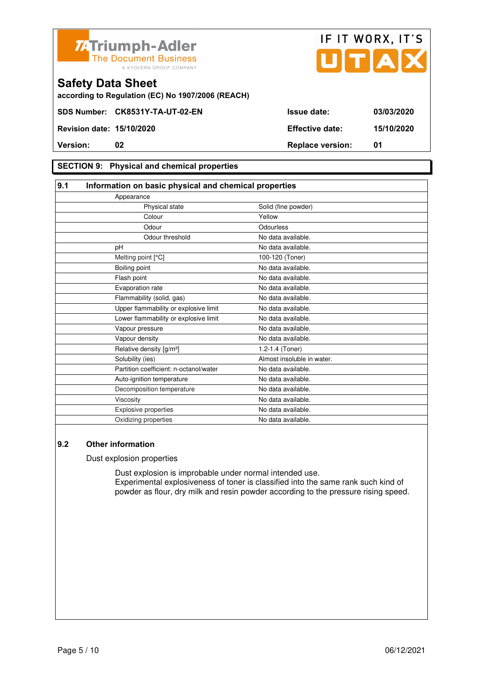![](_page_34_Picture_0.jpeg)

![](_page_34_Picture_1.jpeg)

**according to Regulation (EC) No 1907/2006 (REACH)**

#### **SECTION 9: Physical and chemical properties**

#### **9.1 Information on basic physical and chemical properties** Appearance Physical state Solid (fine powder) **Colour Colour Vellow** Odour **Odourless** Odour threshold No data available. pH No data available. Melting point [°C] 100-120 (Toner) Boiling point No data available. Flash point **No data available.** Evaporation rate **No and American** No data available. Flammability (solid, gas) No data available. Upper flammability or explosive limit No data available. Lower flammability or explosive limit No data available. Vapour pressure No data available. Vapour density **No data available.** Relative density  $[g/m^3]$  1.2-1.4 (Toner) Solubility (ies) Almost insoluble in water. Partition coefficient: n-octanol/water No data available. Auto-ignition temperature No data available. Decomposition temperature No data available. Viscosity **No data available.** Explosive properties **No data available**. Oxidizing properties No data available.

#### **9.2 Other information**

Dust explosion properties

 Dust explosion is improbable under normal intended use. Experimental explosiveness of toner is classified into the same rank such kind of powder as flour, dry milk and resin powder according to the pressure rising speed.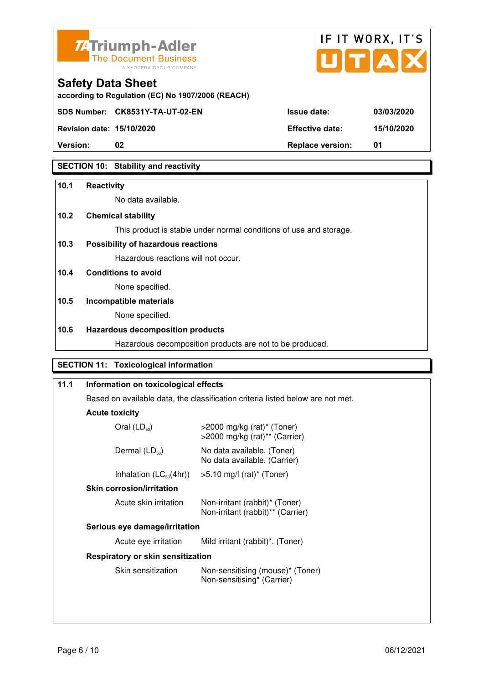![](_page_35_Picture_0.jpeg)

![](_page_35_Picture_1.jpeg)

**according to Regulation (EC) No 1907/2006 (REACH)**

**Revision date: 15/10/2020 Effective date: 15/10/2020** 

**Safety Data Sheet** 

**Version:** 02 **Replace version:** 01

#### **SECTION 10: Stability and reactivity**

#### **10.1 Reactivity**

No data available.

#### **10.2 Chemical stability**

This product is stable under normal conditions of use and storage.

#### **10.3 Possibility of hazardous reactions**

Hazardous reactions will not occur.

**10.4 Conditions to avoid** 

None specified.

### **10.5 Incompatible materials**

None specified.

#### **10.6 Hazardous decomposition products**

Hazardous decomposition products are not to be produced.

#### **SECTION 11: Toxicological information**

| 11.1 | Information on toxicological effects                                                                    |                                                                     |  |
|------|---------------------------------------------------------------------------------------------------------|---------------------------------------------------------------------|--|
|      | Based on available data, the classification criteria listed below are not met.<br><b>Acute toxicity</b> |                                                                     |  |
|      |                                                                                                         |                                                                     |  |
|      | Oral $(LD_{50})$                                                                                        | >2000 mg/kg (rat)* (Toner)<br>>2000 mg/kg (rat)** (Carrier)         |  |
|      | Dermal $(LD_{50})$                                                                                      | No data available. (Toner)<br>No data available. (Carrier)          |  |
|      | Inhalation $(LC_{50}(4hr))$                                                                             | $>5.10$ mg/l (rat)* (Toner)                                         |  |
|      | <b>Skin corrosion/irritation</b>                                                                        |                                                                     |  |
|      | Acute skin irritation                                                                                   | Non-irritant (rabbit)* (Toner)<br>Non-irritant (rabbit)** (Carrier) |  |
|      | Serious eye damage/irritation                                                                           |                                                                     |  |
|      | Acute eye irritation                                                                                    | Mild irritant (rabbit)*. (Toner)                                    |  |
|      | <b>Respiratory or skin sensitization</b>                                                                |                                                                     |  |
|      | Skin sensitization                                                                                      | Non-sensitising (mouse)* (Toner)<br>Non-sensitising* (Carrier)      |  |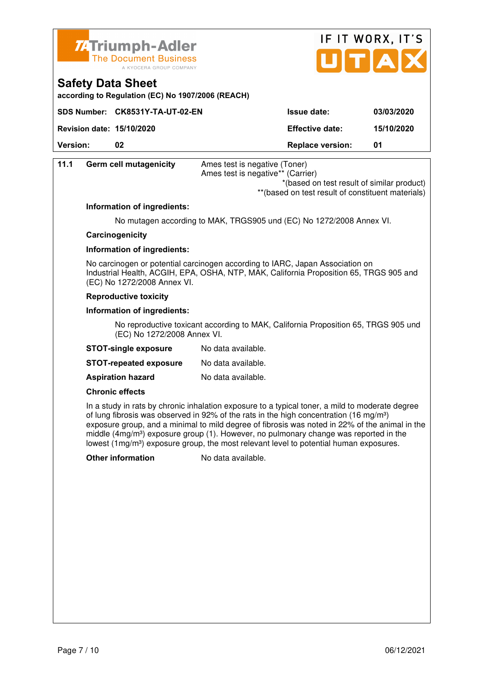![](_page_36_Picture_0.jpeg)

![](_page_36_Picture_1.jpeg)

**according to Regulation (EC) No 1907/2006 (REACH)**

|                                  | SDS Number: CK8531Y-TA-UT-02-EN | <b>Issue date:</b>      | 03/03/2020 |
|----------------------------------|---------------------------------|-------------------------|------------|
| <b>Revision date: 15/10/2020</b> |                                 | <b>Effective date:</b>  | 15/10/2020 |
| <b>Version:</b>                  |                                 | <b>Replace version:</b> | 01         |

| 11.1 | <b>Germ cell mutagenicity</b>                                                                                                                                                                          | Ames test is negative (Toner)<br>Ames test is negative** (Carrier)                 |  |
|------|--------------------------------------------------------------------------------------------------------------------------------------------------------------------------------------------------------|------------------------------------------------------------------------------------|--|
|      |                                                                                                                                                                                                        | *(based on test result of similar product)                                         |  |
|      |                                                                                                                                                                                                        | ** (based on test result of constituent materials)                                 |  |
|      | Information of ingredients:                                                                                                                                                                            |                                                                                    |  |
|      |                                                                                                                                                                                                        | No mutagen according to MAK, TRGS905 und (EC) No 1272/2008 Annex VI.               |  |
|      | Carcinogenicity                                                                                                                                                                                        |                                                                                    |  |
|      | Information of ingredients:                                                                                                                                                                            |                                                                                    |  |
|      | No carcinogen or potential carcinogen according to IARC, Japan Association on<br>Industrial Health, ACGIH, EPA, OSHA, NTP, MAK, California Proposition 65, TRGS 905 and<br>(EC) No 1272/2008 Annex VI. |                                                                                    |  |
|      | <b>Reproductive toxicity</b>                                                                                                                                                                           |                                                                                    |  |
|      | Information of ingredients:                                                                                                                                                                            |                                                                                    |  |
|      | (EC) No 1272/2008 Annex VI.                                                                                                                                                                            | No reproductive toxicant according to MAK, California Proposition 65, TRGS 905 und |  |
|      | <b>STOT-single exposure</b>                                                                                                                                                                            | No data available.                                                                 |  |
|      | <b>STOT-repeated exposure</b>                                                                                                                                                                          | No data available.                                                                 |  |

**Aspiration hazard** No data available.

#### **Chronic effects**

 In a study in rats by chronic inhalation exposure to a typical toner, a mild to moderate degree of lung fibrosis was observed in 92% of the rats in the high concentration (16 mg/m<sup>3</sup>) exposure group, and a minimal to mild degree of fibrosis was noted in 22% of the animal in the middle  $(4mg/m<sup>3</sup>)$  exposure group (1). However, no pulmonary change was reported in the lowest (1mg/m<sup>3</sup>) exposure group, the most relevant level to potential human exposures.

**Other information** No data available.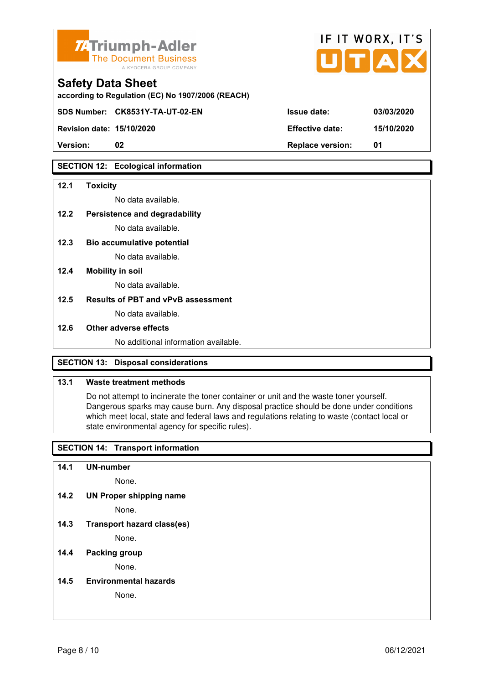![](_page_37_Picture_0.jpeg)

| <b>74 Triumph-Adler</b><br>The Document Business<br>A KYOCERA GROUP COMPANY   | IF II WURX, II S<br>UTAX |            |  |
|-------------------------------------------------------------------------------|--------------------------|------------|--|
| <b>Safety Data Sheet</b><br>according to Regulation (EC) No 1907/2006 (REACH) |                          |            |  |
| SDS Number: CK8531Y-TA-UT-02-EN                                               | <b>Issue date:</b>       | 03/03/2020 |  |
| <b>Revision date: 15/10/2020</b>                                              | <b>Effective date:</b>   | 15/10/2020 |  |

 $\mathbf{r} = \mathbf{r} + \mathbf{r}$ 

 $\rightarrow$ 

**Version: 02 Replace version: 01** 

#### **SECTION 12: Ecological information**

#### **12.1 Toxicity**

No data available.

#### **12.2 Persistence and degradability**

No data available.

- **12.3 Bio accumulative potential**  No data available.
- **12.4 Mobility in soil**

No data available.

#### **12.5 Results of PBT and vPvB assessment**

No data available.

#### **12.6 Other adverse effects**

No additional information available.

#### **SECTION 13: Disposal considerations**

#### **13.1 Waste treatment methods**

 Do not attempt to incinerate the toner container or unit and the waste toner yourself. Dangerous sparks may cause burn. Any disposal practice should be done under conditions which meet local, state and federal laws and regulations relating to waste (contact local or state environmental agency for specific rules).

#### **SECTION 14: Transport information**

**14.1 UN-number** 

None.

**14.2 UN Proper shipping name** 

None.

**14.3 Transport hazard class(es)** 

None.

#### **14.4 Packing group**

None.

**14.5 Environmental hazards** 

None.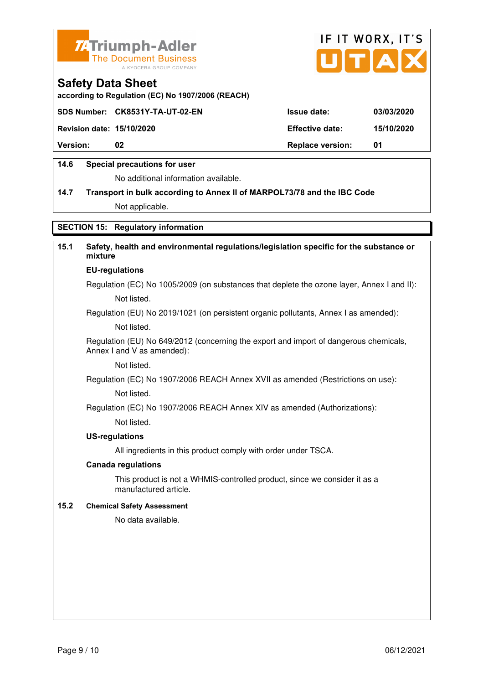![](_page_38_Picture_0.jpeg)

![](_page_38_Picture_1.jpeg)

**according to Regulation (EC) No 1907/2006 (REACH)**

|                                  | SDS Number: CK8531Y-TA-UT-02-EN | <b>Issue date:</b>      | 03/03/2020 |
|----------------------------------|---------------------------------|-------------------------|------------|
| <b>Revision date: 15/10/2020</b> |                                 | <b>Effective date:</b>  | 15/10/2020 |
| <b>Version:</b>                  | 02                              | <b>Replace version:</b> | -01        |
|                                  |                                 |                         |            |

#### **14.6 Special precautions for user**

No additional information available.

# **14.7 Transport in bulk according to Annex II of MARPOL73/78 and the IBC Code**

Not applicable.

#### **SECTION 15: Regulatory information**

#### **15.1 Safety, health and environmental regulations/legislation specific for the substance or mixture EU-regulations**

Regulation (EC) No 1005/2009 (on substances that deplete the ozone layer, Annex I and II): Not listed.

Regulation (EU) No 2019/1021 (on persistent organic pollutants, Annex I as amended):

Not listed.

 Regulation (EU) No 649/2012 (concerning the export and import of dangerous chemicals, Annex I and V as amended):

Not listed.

 Regulation (EC) No 1907/2006 REACH Annex XVII as amended (Restrictions on use): Not listed.

Regulation (EC) No 1907/2006 REACH Annex XIV as amended (Authorizations):

Not listed.

#### **US-regulations**

All ingredients in this product comply with order under TSCA.

#### **Canada regulations**

 This product is not a WHMIS-controlled product, since we consider it as a manufactured article.

#### **15.2 Chemical Safety Assessment**

No data available.